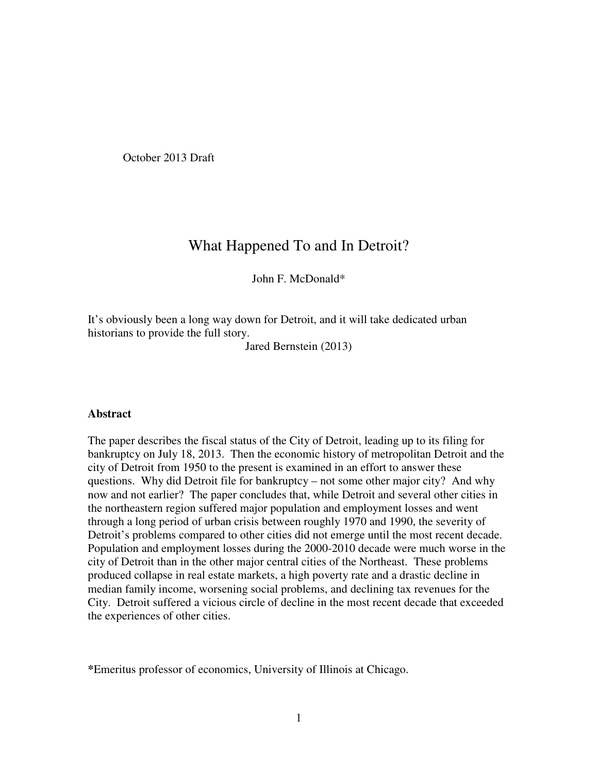October 2013 Draft

# What Happened To and In Detroit?

John F. McDonald\*

It's obviously been a long way down for Detroit, and it will take dedicated urban historians to provide the full story.

Jared Bernstein (2013)

#### **Abstract**

The paper describes the fiscal status of the City of Detroit, leading up to its filing for bankruptcy on July 18, 2013. Then the economic history of metropolitan Detroit and the city of Detroit from 1950 to the present is examined in an effort to answer these questions. Why did Detroit file for bankruptcy – not some other major city? And why now and not earlier? The paper concludes that, while Detroit and several other cities in the northeastern region suffered major population and employment losses and went through a long period of urban crisis between roughly 1970 and 1990, the severity of Detroit's problems compared to other cities did not emerge until the most recent decade. Population and employment losses during the 2000-2010 decade were much worse in the city of Detroit than in the other major central cities of the Northeast. These problems produced collapse in real estate markets, a high poverty rate and a drastic decline in median family income, worsening social problems, and declining tax revenues for the City. Detroit suffered a vicious circle of decline in the most recent decade that exceeded the experiences of other cities.

**<sup>\*</sup>**Emeritus professor of economics, University of Illinois at Chicago.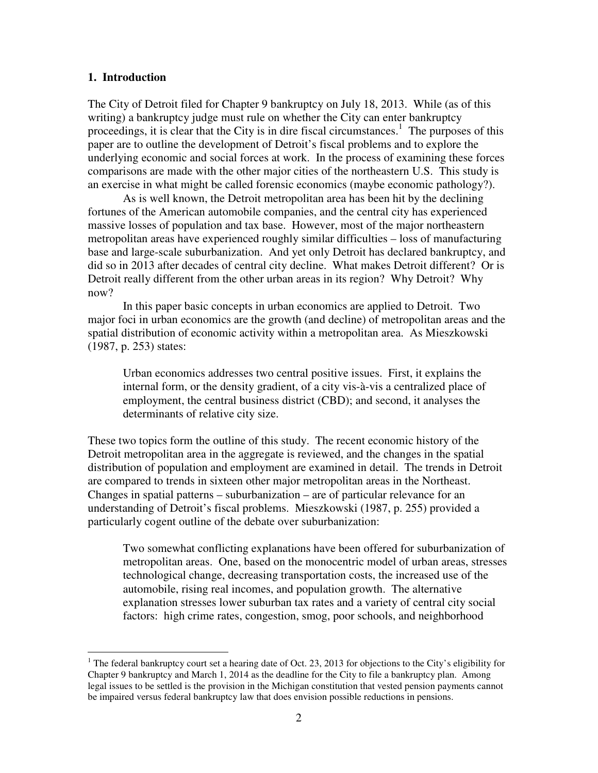### **1. Introduction**

 $\overline{a}$ 

The City of Detroit filed for Chapter 9 bankruptcy on July 18, 2013. While (as of this writing) a bankruptcy judge must rule on whether the City can enter bankruptcy proceedings, it is clear that the City is in dire fiscal circumstances.<sup>1</sup> The purposes of this paper are to outline the development of Detroit's fiscal problems and to explore the underlying economic and social forces at work. In the process of examining these forces comparisons are made with the other major cities of the northeastern U.S. This study is an exercise in what might be called forensic economics (maybe economic pathology?).

 As is well known, the Detroit metropolitan area has been hit by the declining fortunes of the American automobile companies, and the central city has experienced massive losses of population and tax base. However, most of the major northeastern metropolitan areas have experienced roughly similar difficulties – loss of manufacturing base and large-scale suburbanization. And yet only Detroit has declared bankruptcy, and did so in 2013 after decades of central city decline. What makes Detroit different? Or is Detroit really different from the other urban areas in its region? Why Detroit? Why now?

 In this paper basic concepts in urban economics are applied to Detroit. Two major foci in urban economics are the growth (and decline) of metropolitan areas and the spatial distribution of economic activity within a metropolitan area. As Mieszkowski (1987, p. 253) states:

Urban economics addresses two central positive issues. First, it explains the internal form, or the density gradient, of a city vis-à-vis a centralized place of employment, the central business district (CBD); and second, it analyses the determinants of relative city size.

These two topics form the outline of this study. The recent economic history of the Detroit metropolitan area in the aggregate is reviewed, and the changes in the spatial distribution of population and employment are examined in detail. The trends in Detroit are compared to trends in sixteen other major metropolitan areas in the Northeast. Changes in spatial patterns – suburbanization – are of particular relevance for an understanding of Detroit's fiscal problems. Mieszkowski (1987, p. 255) provided a particularly cogent outline of the debate over suburbanization:

Two somewhat conflicting explanations have been offered for suburbanization of metropolitan areas. One, based on the monocentric model of urban areas, stresses technological change, decreasing transportation costs, the increased use of the automobile, rising real incomes, and population growth. The alternative explanation stresses lower suburban tax rates and a variety of central city social factors: high crime rates, congestion, smog, poor schools, and neighborhood

<sup>&</sup>lt;sup>1</sup> The federal bankruptcy court set a hearing date of Oct. 23, 2013 for objections to the City's eligibility for Chapter 9 bankruptcy and March 1, 2014 as the deadline for the City to file a bankruptcy plan. Among legal issues to be settled is the provision in the Michigan constitution that vested pension payments cannot be impaired versus federal bankruptcy law that does envision possible reductions in pensions.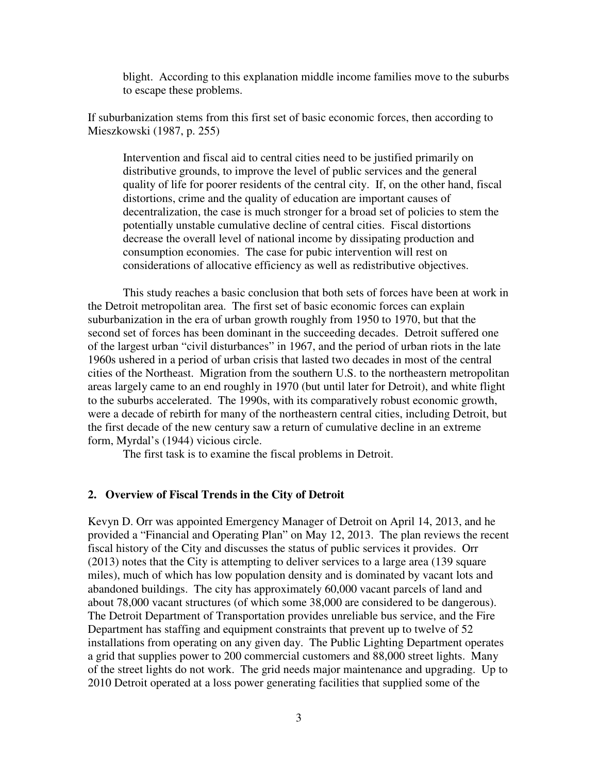blight. According to this explanation middle income families move to the suburbs to escape these problems.

If suburbanization stems from this first set of basic economic forces, then according to Mieszkowski (1987, p. 255)

Intervention and fiscal aid to central cities need to be justified primarily on distributive grounds, to improve the level of public services and the general quality of life for poorer residents of the central city. If, on the other hand, fiscal distortions, crime and the quality of education are important causes of decentralization, the case is much stronger for a broad set of policies to stem the potentially unstable cumulative decline of central cities. Fiscal distortions decrease the overall level of national income by dissipating production and consumption economies. The case for pubic intervention will rest on considerations of allocative efficiency as well as redistributive objectives.

This study reaches a basic conclusion that both sets of forces have been at work in the Detroit metropolitan area. The first set of basic economic forces can explain suburbanization in the era of urban growth roughly from 1950 to 1970, but that the second set of forces has been dominant in the succeeding decades. Detroit suffered one of the largest urban "civil disturbances" in 1967, and the period of urban riots in the late 1960s ushered in a period of urban crisis that lasted two decades in most of the central cities of the Northeast. Migration from the southern U.S. to the northeastern metropolitan areas largely came to an end roughly in 1970 (but until later for Detroit), and white flight to the suburbs accelerated. The 1990s, with its comparatively robust economic growth, were a decade of rebirth for many of the northeastern central cities, including Detroit, but the first decade of the new century saw a return of cumulative decline in an extreme form, Myrdal's (1944) vicious circle.

The first task is to examine the fiscal problems in Detroit.

#### **2. Overview of Fiscal Trends in the City of Detroit**

Kevyn D. Orr was appointed Emergency Manager of Detroit on April 14, 2013, and he provided a "Financial and Operating Plan" on May 12, 2013. The plan reviews the recent fiscal history of the City and discusses the status of public services it provides. Orr (2013) notes that the City is attempting to deliver services to a large area (139 square miles), much of which has low population density and is dominated by vacant lots and abandoned buildings. The city has approximately 60,000 vacant parcels of land and about 78,000 vacant structures (of which some 38,000 are considered to be dangerous). The Detroit Department of Transportation provides unreliable bus service, and the Fire Department has staffing and equipment constraints that prevent up to twelve of 52 installations from operating on any given day. The Public Lighting Department operates a grid that supplies power to 200 commercial customers and 88,000 street lights. Many of the street lights do not work. The grid needs major maintenance and upgrading. Up to 2010 Detroit operated at a loss power generating facilities that supplied some of the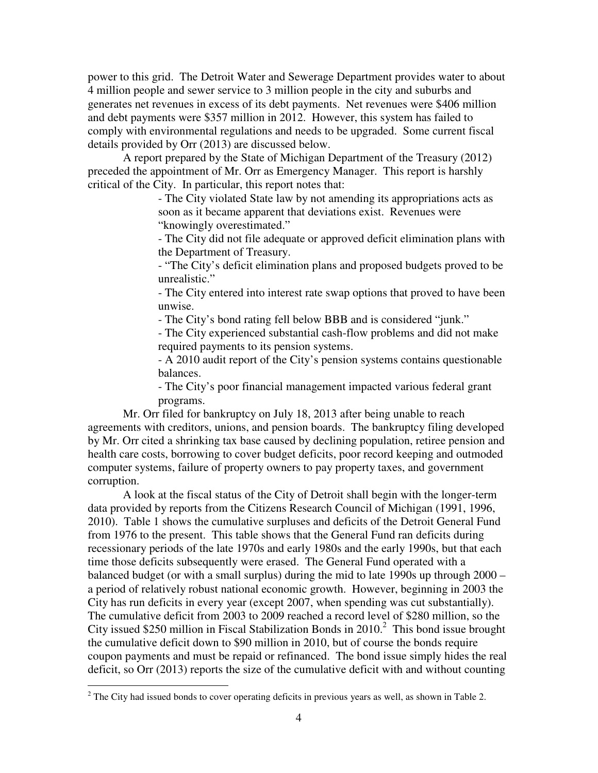power to this grid. The Detroit Water and Sewerage Department provides water to about 4 million people and sewer service to 3 million people in the city and suburbs and generates net revenues in excess of its debt payments. Net revenues were \$406 million and debt payments were \$357 million in 2012. However, this system has failed to comply with environmental regulations and needs to be upgraded. Some current fiscal details provided by Orr (2013) are discussed below.

 A report prepared by the State of Michigan Department of the Treasury (2012) preceded the appointment of Mr. Orr as Emergency Manager. This report is harshly critical of the City. In particular, this report notes that:

> - The City violated State law by not amending its appropriations acts as soon as it became apparent that deviations exist. Revenues were "knowingly overestimated."

- The City did not file adequate or approved deficit elimination plans with the Department of Treasury.

- "The City's deficit elimination plans and proposed budgets proved to be unrealistic."

- The City entered into interest rate swap options that proved to have been unwise.

- The City's bond rating fell below BBB and is considered "junk."

 - The City experienced substantial cash-flow problems and did not make required payments to its pension systems.

- A 2010 audit report of the City's pension systems contains questionable balances.

- The City's poor financial management impacted various federal grant programs.

 Mr. Orr filed for bankruptcy on July 18, 2013 after being unable to reach agreements with creditors, unions, and pension boards. The bankruptcy filing developed by Mr. Orr cited a shrinking tax base caused by declining population, retiree pension and health care costs, borrowing to cover budget deficits, poor record keeping and outmoded computer systems, failure of property owners to pay property taxes, and government corruption.

 A look at the fiscal status of the City of Detroit shall begin with the longer-term data provided by reports from the Citizens Research Council of Michigan (1991, 1996, 2010). Table 1 shows the cumulative surpluses and deficits of the Detroit General Fund from 1976 to the present. This table shows that the General Fund ran deficits during recessionary periods of the late 1970s and early 1980s and the early 1990s, but that each time those deficits subsequently were erased. The General Fund operated with a balanced budget (or with a small surplus) during the mid to late 1990s up through 2000 – a period of relatively robust national economic growth. However, beginning in 2003 the City has run deficits in every year (except 2007, when spending was cut substantially). The cumulative deficit from 2003 to 2009 reached a record level of \$280 million, so the City issued \$250 million in Fiscal Stabilization Bonds in  $2010<sup>2</sup>$  This bond issue brought the cumulative deficit down to \$90 million in 2010, but of course the bonds require coupon payments and must be repaid or refinanced. The bond issue simply hides the real deficit, so Orr (2013) reports the size of the cumulative deficit with and without counting

 $\overline{a}$ 

 $2^2$  The City had issued bonds to cover operating deficits in previous years as well, as shown in Table 2.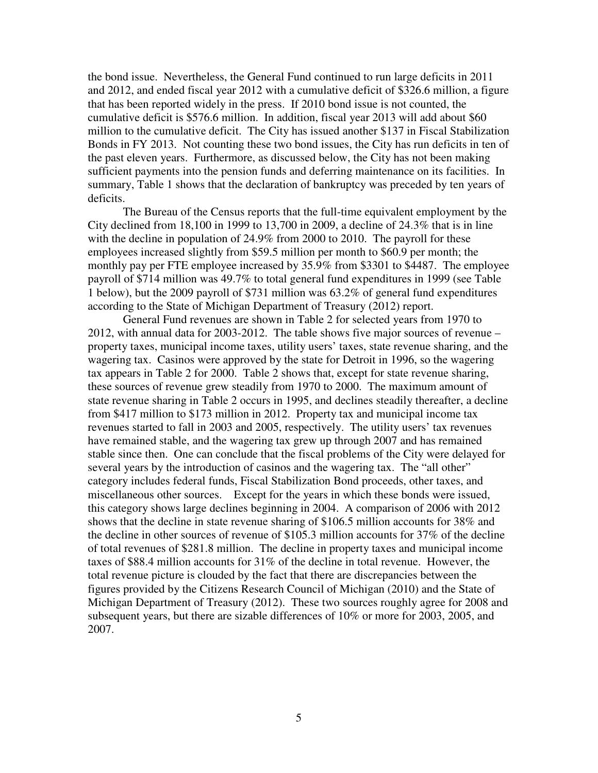the bond issue. Nevertheless, the General Fund continued to run large deficits in 2011 and 2012, and ended fiscal year 2012 with a cumulative deficit of \$326.6 million, a figure that has been reported widely in the press. If 2010 bond issue is not counted, the cumulative deficit is \$576.6 million. In addition, fiscal year 2013 will add about \$60 million to the cumulative deficit. The City has issued another \$137 in Fiscal Stabilization Bonds in FY 2013. Not counting these two bond issues, the City has run deficits in ten of the past eleven years. Furthermore, as discussed below, the City has not been making sufficient payments into the pension funds and deferring maintenance on its facilities. In summary, Table 1 shows that the declaration of bankruptcy was preceded by ten years of deficits.

 The Bureau of the Census reports that the full-time equivalent employment by the City declined from 18,100 in 1999 to 13,700 in 2009, a decline of 24.3% that is in line with the decline in population of 24.9% from 2000 to 2010. The payroll for these employees increased slightly from \$59.5 million per month to \$60.9 per month; the monthly pay per FTE employee increased by 35.9% from \$3301 to \$4487. The employee payroll of \$714 million was 49.7% to total general fund expenditures in 1999 (see Table 1 below), but the 2009 payroll of \$731 million was 63.2% of general fund expenditures according to the State of Michigan Department of Treasury (2012) report.

 General Fund revenues are shown in Table 2 for selected years from 1970 to 2012, with annual data for 2003-2012. The table shows five major sources of revenue – property taxes, municipal income taxes, utility users' taxes, state revenue sharing, and the wagering tax. Casinos were approved by the state for Detroit in 1996, so the wagering tax appears in Table 2 for 2000. Table 2 shows that, except for state revenue sharing, these sources of revenue grew steadily from 1970 to 2000. The maximum amount of state revenue sharing in Table 2 occurs in 1995, and declines steadily thereafter, a decline from \$417 million to \$173 million in 2012. Property tax and municipal income tax revenues started to fall in 2003 and 2005, respectively. The utility users' tax revenues have remained stable, and the wagering tax grew up through 2007 and has remained stable since then. One can conclude that the fiscal problems of the City were delayed for several years by the introduction of casinos and the wagering tax. The "all other" category includes federal funds, Fiscal Stabilization Bond proceeds, other taxes, and miscellaneous other sources. Except for the years in which these bonds were issued, this category shows large declines beginning in 2004. A comparison of 2006 with 2012 shows that the decline in state revenue sharing of \$106.5 million accounts for 38% and the decline in other sources of revenue of \$105.3 million accounts for 37% of the decline of total revenues of \$281.8 million. The decline in property taxes and municipal income taxes of \$88.4 million accounts for 31% of the decline in total revenue. However, the total revenue picture is clouded by the fact that there are discrepancies between the figures provided by the Citizens Research Council of Michigan (2010) and the State of Michigan Department of Treasury (2012). These two sources roughly agree for 2008 and subsequent years, but there are sizable differences of 10% or more for 2003, 2005, and 2007.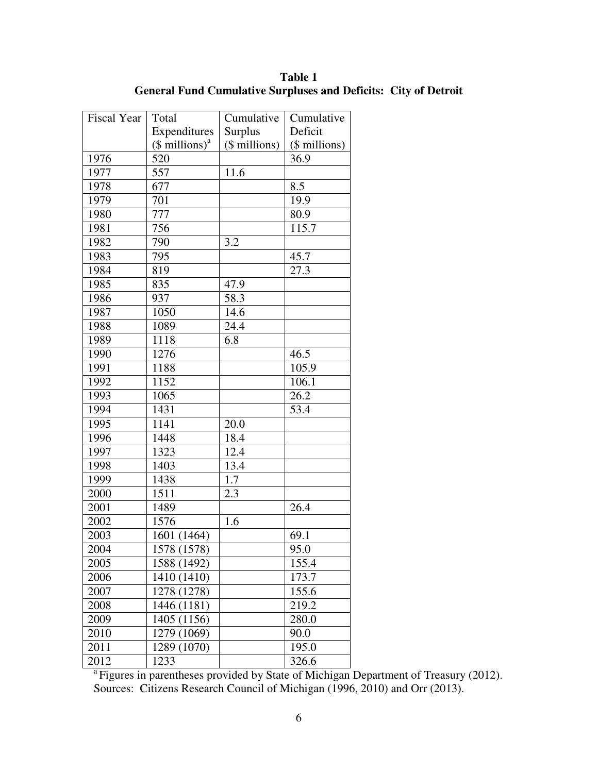| Table 1                                                                |  |
|------------------------------------------------------------------------|--|
| <b>General Fund Cumulative Surpluses and Deficits: City of Detroit</b> |  |

| Fiscal Year | Total                       | Cumulative    | Cumulative    |
|-------------|-----------------------------|---------------|---------------|
|             | Expenditures                | Surplus       | Deficit       |
|             | $($$ millions) <sup>a</sup> | (\$ millions) | (\$ millions) |
| 1976        | 520                         |               | 36.9          |
| 1977        | 557                         | 11.6          |               |
| 1978        | 677                         |               | 8.5           |
| 1979        | 701                         |               | 19.9          |
| 1980        | 777                         |               | 80.9          |
| 1981        | 756                         |               | 115.7         |
| 1982        | 790                         | 3.2           |               |
| 1983        | 795                         |               | 45.7          |
| 1984        | 819                         |               | 27.3          |
| 1985        | 835                         | 47.9          |               |
| 1986        | 937                         | 58.3          |               |
| 1987        | 1050                        | 14.6          |               |
| 1988        | 1089                        | 24.4          |               |
| 1989        | 1118                        | 6.8           |               |
| 1990        | 1276                        |               | 46.5          |
| 1991        | 1188                        |               | 105.9         |
| 1992        | 1152                        |               | 106.1         |
| 1993        | 1065                        |               | 26.2          |
| 1994        | 1431                        |               | 53.4          |
| 1995        | 1141                        | 20.0          |               |
| 1996        | 1448                        | 18.4          |               |
| 1997        | 1323                        | 12.4          |               |
| 1998        | 1403                        | 13.4          |               |
| 1999        | 1438                        | 1.7           |               |
| 2000        | 1511                        | 2.3           |               |
| 2001        | 1489                        |               | 26.4          |
| 2002        | 1576                        | 1.6           |               |
| 2003        | 1601 (1464)                 |               | 69.1          |
| 2004        | $\overline{1578(1578)}$     |               | 95.0          |
| 2005        | 1588 (1492)                 |               | 155.4         |
| 2006        | 1410 (1410)                 |               | 173.7         |
| 2007        | 1278 (1278)                 |               | 155.6         |
| 2008        | 1446 (1181)                 |               | 219.2         |
| 2009        | 1405 (1156)                 |               | 280.0         |
| 2010        | 1279 (1069)                 |               | 90.0          |
| 2011        | 1289 (1070)                 |               | 195.0         |
| 2012        | 1233                        |               | 326.6         |

<sup>a</sup> Figures in parentheses provided by State of Michigan Department of Treasury (2012). Sources: Citizens Research Council of Michigan (1996, 2010) and Orr (2013).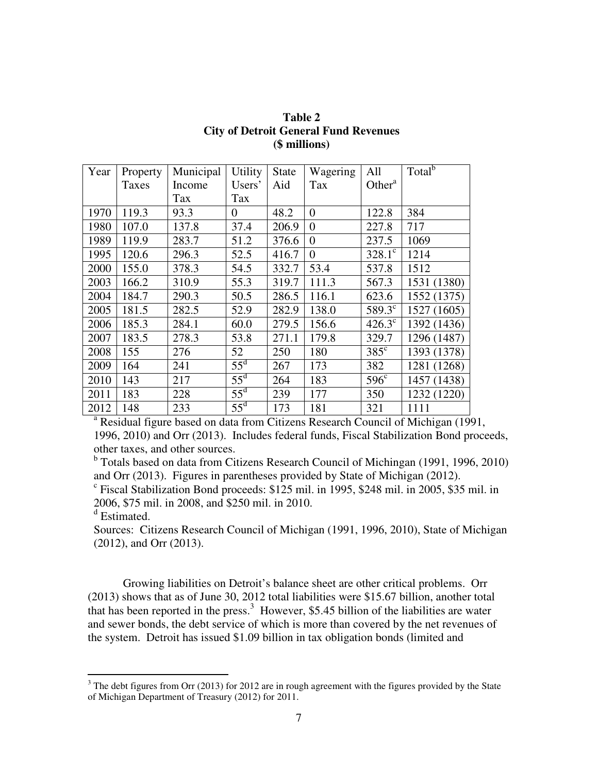| Year | Property | Municipal | <b>Utility</b> | <b>State</b> | Wagering       | All             | Total <sup>b</sup>                                                                           |
|------|----------|-----------|----------------|--------------|----------------|-----------------|----------------------------------------------------------------------------------------------|
|      | Taxes    | Income    | Users'         | Aid          | Tax            | Other $a$       |                                                                                              |
|      |          | Tax       | Tax            |              |                |                 |                                                                                              |
| 1970 | 119.3    | 93.3      | 0              | 48.2         | $\overline{0}$ | 122.8           | 384                                                                                          |
| 1980 | 107.0    | 137.8     | 37.4           | 206.9        | $\overline{0}$ | 227.8           | 717                                                                                          |
| 1989 | 119.9    | 283.7     | 51.2           | 376.6        | $\overline{0}$ | 237.5           | 1069                                                                                         |
| 1995 | 120.6    | 296.3     | 52.5           | 416.7        | $\theta$       | $328.1^{\circ}$ | 1214                                                                                         |
| 2000 | 155.0    | 378.3     | 54.5           | 332.7        | 53.4           | 537.8           | 1512                                                                                         |
| 2003 | 166.2    | 310.9     | 55.3           | 319.7        | 111.3          | 567.3           | 1531 (1380)                                                                                  |
| 2004 | 184.7    | 290.3     | 50.5           | 286.5        | 116.1          | 623.6           | 1552 (1375)                                                                                  |
| 2005 | 181.5    | 282.5     | 52.9           | 282.9        | 138.0          | 589.3°          | 1527 (1605)                                                                                  |
| 2006 | 185.3    | 284.1     | 60.0           | 279.5        | 156.6          | $426.3^{\circ}$ | 1392 (1436)                                                                                  |
| 2007 | 183.5    | 278.3     | 53.8           | 271.1        | 179.8          | 329.7           | 1296 (1487)                                                                                  |
| 2008 | 155      | 276       | 52             | 250          | 180            | $385^{\circ}$   | 1393 (1378)                                                                                  |
| 2009 | 164      | 241       | $55^{\rm d}$   | 267          | 173            | 382             | 1281 (1268)                                                                                  |
| 2010 | 143      | 217       | $55^{\rm d}$   | 264          | 183            | $596^{\circ}$   | 1457 (1438)                                                                                  |
| 2011 | 183      | 228       | $55^{\rm d}$   | 239          | 177            | 350             | 1232 (1220)                                                                                  |
| 2012 | 148      | 233       | $55^{\rm d}$   | 173          | 181            | 321             | 1111                                                                                         |
|      |          |           |                |              |                |                 | <sup>a</sup> Residual figure based on data from Citizens Research Council of Michigan (1991, |

**Table 2 City of Detroit General Fund Revenues (\$ millions)** 

1996, 2010) and Orr (2013). Includes federal funds, Fiscal Stabilization Bond proceeds, other taxes, and other sources.

<sup>b</sup> Totals based on data from Citizens Research Council of Michingan (1991, 1996, 2010) and Orr (2013). Figures in parentheses provided by State of Michigan (2012).

 $c$  Fiscal Stabilization Bond proceeds: \$125 mil. in 1995, \$248 mil. in 2005, \$35 mil. in 2006, \$75 mil. in 2008, and \$250 mil. in 2010.

d Estimated.

Sources: Citizens Research Council of Michigan (1991, 1996, 2010), State of Michigan (2012), and Orr (2013).

 Growing liabilities on Detroit's balance sheet are other critical problems. Orr (2013) shows that as of June 30, 2012 total liabilities were \$15.67 billion, another total that has been reported in the press.<sup>3</sup> However, \$5.45 billion of the liabilities are water and sewer bonds, the debt service of which is more than covered by the net revenues of the system. Detroit has issued \$1.09 billion in tax obligation bonds (limited and

<sup>&</sup>lt;sup>3</sup> The debt figures from Orr (2013) for 2012 are in rough agreement with the figures provided by the State of Michigan Department of Treasury (2012) for 2011.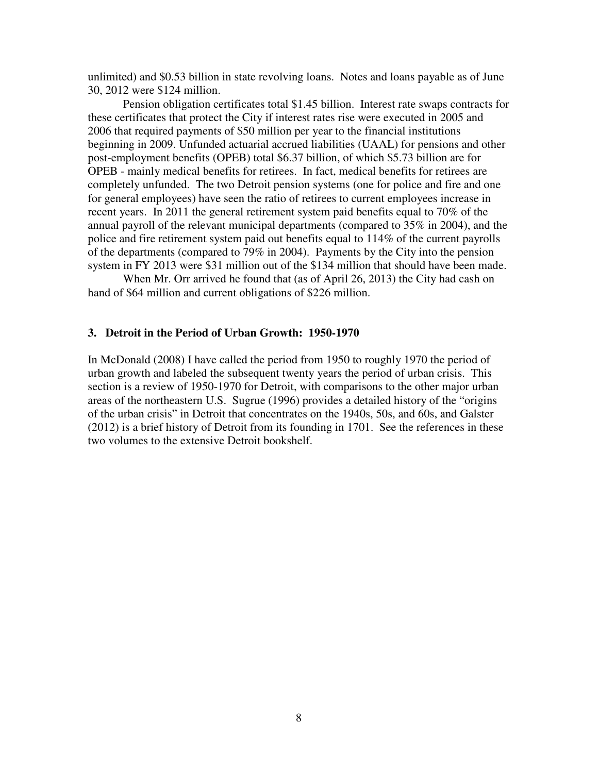unlimited) and \$0.53 billion in state revolving loans. Notes and loans payable as of June 30, 2012 were \$124 million.

Pension obligation certificates total \$1.45 billion. Interest rate swaps contracts for these certificates that protect the City if interest rates rise were executed in 2005 and 2006 that required payments of \$50 million per year to the financial institutions beginning in 2009. Unfunded actuarial accrued liabilities (UAAL) for pensions and other post-employment benefits (OPEB) total \$6.37 billion, of which \$5.73 billion are for OPEB - mainly medical benefits for retirees. In fact, medical benefits for retirees are completely unfunded. The two Detroit pension systems (one for police and fire and one for general employees) have seen the ratio of retirees to current employees increase in recent years. In 2011 the general retirement system paid benefits equal to 70% of the annual payroll of the relevant municipal departments (compared to 35% in 2004), and the police and fire retirement system paid out benefits equal to 114% of the current payrolls of the departments (compared to 79% in 2004). Payments by the City into the pension system in FY 2013 were \$31 million out of the \$134 million that should have been made.

When Mr. Orr arrived he found that (as of April 26, 2013) the City had cash on hand of \$64 million and current obligations of \$226 million.

#### **3. Detroit in the Period of Urban Growth: 1950-1970**

In McDonald (2008) I have called the period from 1950 to roughly 1970 the period of urban growth and labeled the subsequent twenty years the period of urban crisis. This section is a review of 1950-1970 for Detroit, with comparisons to the other major urban areas of the northeastern U.S. Sugrue (1996) provides a detailed history of the "origins of the urban crisis" in Detroit that concentrates on the 1940s, 50s, and 60s, and Galster (2012) is a brief history of Detroit from its founding in 1701. See the references in these two volumes to the extensive Detroit bookshelf.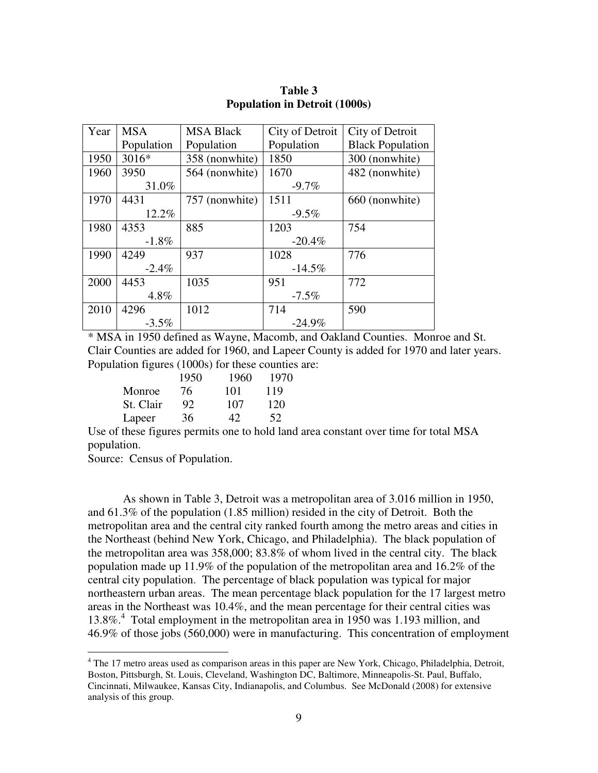| Year | <b>MSA</b> | <b>MSA Black</b> | City of Detroit | City of Detroit         |
|------|------------|------------------|-----------------|-------------------------|
|      | Population | Population       | Population      | <b>Black Population</b> |
| 1950 | 3016*      | 358 (nonwhite)   | 1850            | 300 (nonwhite)          |
| 1960 | 3950       | 564 (nonwhite)   | 1670            | 482 (nonwhite)          |
|      | 31.0%      |                  | $-9.7\%$        |                         |
| 1970 | 4431       | 757 (nonwhite)   | 1511            | 660 (nonwhite)          |
|      | 12.2%      |                  | $-9.5\%$        |                         |
| 1980 | 4353       | 885              | 1203            | 754                     |
|      | $-1.8%$    |                  | $-20.4%$        |                         |
| 1990 | 4249       | 937              | 1028            | 776                     |
|      | $-2.4\%$   |                  | $-14.5%$        |                         |
| 2000 | 4453       | 1035             | 951             | 772                     |
|      | 4.8%       |                  | $-7.5\%$        |                         |
| 2010 | 4296       | 1012             | 714             | 590                     |
|      | $-3.5\%$   |                  | $-24.9%$        |                         |

**Table 3 Population in Detroit (1000s)** 

\* MSA in 1950 defined as Wayne, Macomb, and Oakland Counties. Monroe and St. Clair Counties are added for 1960, and Lapeer County is added for 1970 and later years. Population figures (1000s) for these counties are:

|           | 1950 | 1960 | 1970 |
|-----------|------|------|------|
| Monroe    | 76   | 101  | 119  |
| St. Clair | 92.  | 107  | 120  |
| Lapeer    | 36   | 42   | 52   |

Use of these figures permits one to hold land area constant over time for total MSA population.

Source: Census of Population.

 $\overline{a}$ 

 As shown in Table 3, Detroit was a metropolitan area of 3.016 million in 1950, and 61.3% of the population (1.85 million) resided in the city of Detroit. Both the metropolitan area and the central city ranked fourth among the metro areas and cities in the Northeast (behind New York, Chicago, and Philadelphia). The black population of the metropolitan area was 358,000; 83.8% of whom lived in the central city. The black population made up 11.9% of the population of the metropolitan area and 16.2% of the central city population. The percentage of black population was typical for major northeastern urban areas. The mean percentage black population for the 17 largest metro areas in the Northeast was 10.4%, and the mean percentage for their central cities was 13.8%.<sup>4</sup> Total employment in the metropolitan area in 1950 was 1.193 million, and 46.9% of those jobs (560,000) were in manufacturing. This concentration of employment

<sup>&</sup>lt;sup>4</sup> The 17 metro areas used as comparison areas in this paper are New York, Chicago, Philadelphia, Detroit, Boston, Pittsburgh, St. Louis, Cleveland, Washington DC, Baltimore, Minneapolis-St. Paul, Buffalo, Cincinnati, Milwaukee, Kansas City, Indianapolis, and Columbus. See McDonald (2008) for extensive analysis of this group.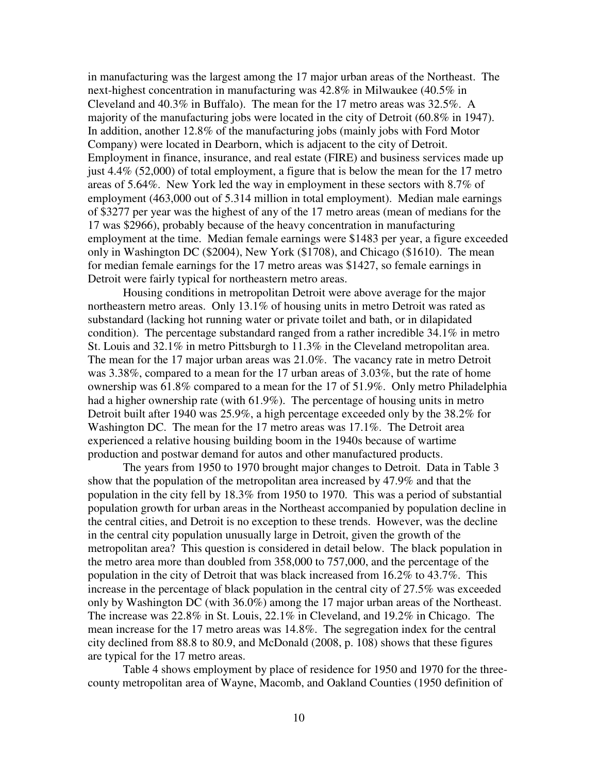in manufacturing was the largest among the 17 major urban areas of the Northeast. The next-highest concentration in manufacturing was 42.8% in Milwaukee (40.5% in Cleveland and 40.3% in Buffalo). The mean for the 17 metro areas was 32.5%. A majority of the manufacturing jobs were located in the city of Detroit (60.8% in 1947). In addition, another 12.8% of the manufacturing jobs (mainly jobs with Ford Motor Company) were located in Dearborn, which is adjacent to the city of Detroit. Employment in finance, insurance, and real estate (FIRE) and business services made up just 4.4% (52,000) of total employment, a figure that is below the mean for the 17 metro areas of 5.64%. New York led the way in employment in these sectors with 8.7% of employment (463,000 out of 5.314 million in total employment). Median male earnings of \$3277 per year was the highest of any of the 17 metro areas (mean of medians for the 17 was \$2966), probably because of the heavy concentration in manufacturing employment at the time. Median female earnings were \$1483 per year, a figure exceeded only in Washington DC (\$2004), New York (\$1708), and Chicago (\$1610). The mean for median female earnings for the 17 metro areas was \$1427, so female earnings in Detroit were fairly typical for northeastern metro areas.

 Housing conditions in metropolitan Detroit were above average for the major northeastern metro areas. Only 13.1% of housing units in metro Detroit was rated as substandard (lacking hot running water or private toilet and bath, or in dilapidated condition). The percentage substandard ranged from a rather incredible 34.1% in metro St. Louis and 32.1% in metro Pittsburgh to 11.3% in the Cleveland metropolitan area. The mean for the 17 major urban areas was 21.0%. The vacancy rate in metro Detroit was 3.38%, compared to a mean for the 17 urban areas of 3.03%, but the rate of home ownership was 61.8% compared to a mean for the 17 of 51.9%. Only metro Philadelphia had a higher ownership rate (with 61.9%). The percentage of housing units in metro Detroit built after 1940 was 25.9%, a high percentage exceeded only by the 38.2% for Washington DC. The mean for the 17 metro areas was 17.1%. The Detroit area experienced a relative housing building boom in the 1940s because of wartime production and postwar demand for autos and other manufactured products.

 The years from 1950 to 1970 brought major changes to Detroit. Data in Table 3 show that the population of the metropolitan area increased by 47.9% and that the population in the city fell by 18.3% from 1950 to 1970. This was a period of substantial population growth for urban areas in the Northeast accompanied by population decline in the central cities, and Detroit is no exception to these trends. However, was the decline in the central city population unusually large in Detroit, given the growth of the metropolitan area? This question is considered in detail below. The black population in the metro area more than doubled from 358,000 to 757,000, and the percentage of the population in the city of Detroit that was black increased from 16.2% to 43.7%. This increase in the percentage of black population in the central city of 27.5% was exceeded only by Washington DC (with 36.0%) among the 17 major urban areas of the Northeast. The increase was 22.8% in St. Louis, 22.1% in Cleveland, and 19.2% in Chicago. The mean increase for the 17 metro areas was 14.8%. The segregation index for the central city declined from 88.8 to 80.9, and McDonald (2008, p. 108) shows that these figures are typical for the 17 metro areas.

Table 4 shows employment by place of residence for 1950 and 1970 for the threecounty metropolitan area of Wayne, Macomb, and Oakland Counties (1950 definition of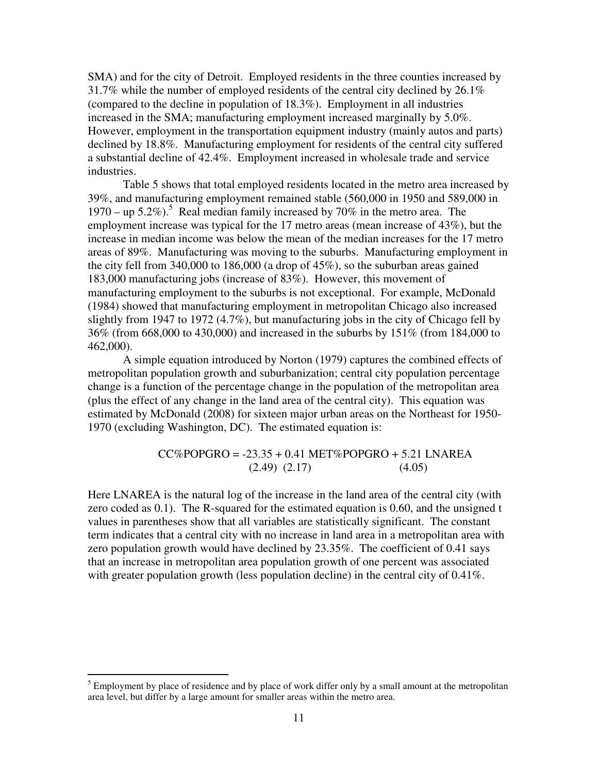SMA) and for the city of Detroit. Employed residents in the three counties increased by 31.7% while the number of employed residents of the central city declined by 26.1% (compared to the decline in population of 18.3%). Employment in all industries increased in the SMA; manufacturing employment increased marginally by 5.0%. However, employment in the transportation equipment industry (mainly autos and parts) declined by 18.8%. Manufacturing employment for residents of the central city suffered a substantial decline of 42.4%. Employment increased in wholesale trade and service industries.

Table 5 shows that total employed residents located in the metro area increased by 39%, and manufacturing employment remained stable (560,000 in 1950 and 589,000 in  $1970 -$ up 5.2%).<sup>5</sup> Real median family increased by 70% in the metro area. The employment increase was typical for the 17 metro areas (mean increase of 43%), but the increase in median income was below the mean of the median increases for the 17 metro areas of 89%. Manufacturing was moving to the suburbs. Manufacturing employment in the city fell from 340,000 to 186,000 (a drop of 45%), so the suburban areas gained 183,000 manufacturing jobs (increase of 83%). However, this movement of manufacturing employment to the suburbs is not exceptional. For example, McDonald (1984) showed that manufacturing employment in metropolitan Chicago also increased slightly from 1947 to 1972 (4.7%), but manufacturing jobs in the city of Chicago fell by 36% (from 668,000 to 430,000) and increased in the suburbs by 151% (from 184,000 to 462,000).

A simple equation introduced by Norton (1979) captures the combined effects of metropolitan population growth and suburbanization; central city population percentage change is a function of the percentage change in the population of the metropolitan area (plus the effect of any change in the land area of the central city). This equation was estimated by McDonald (2008) for sixteen major urban areas on the Northeast for 1950- 1970 (excluding Washington, DC). The estimated equation is:

### $CC\%POPGRO = -23.35 + 0.41 MET\%POPGRO + 5.21 LNAREA$  $(2.49)$   $(2.17)$   $(4.05)$

Here LNAREA is the natural log of the increase in the land area of the central city (with zero coded as 0.1). The R-squared for the estimated equation is 0.60, and the unsigned t values in parentheses show that all variables are statistically significant. The constant term indicates that a central city with no increase in land area in a metropolitan area with zero population growth would have declined by 23.35%. The coefficient of 0.41 says that an increase in metropolitan area population growth of one percent was associated with greater population growth (less population decline) in the central city of 0.41%.

<sup>&</sup>lt;sup>5</sup> Employment by place of residence and by place of work differ only by a small amount at the metropolitan area level, but differ by a large amount for smaller areas within the metro area.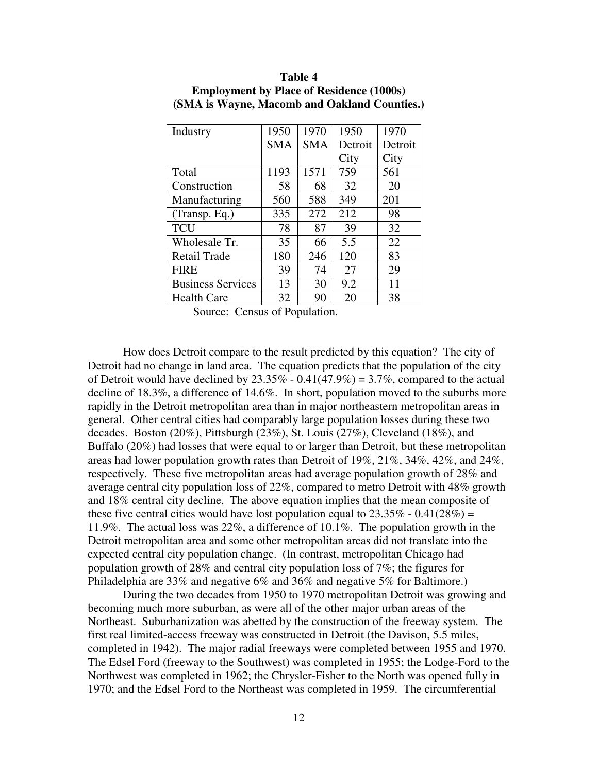| Industry                 | 1950       | 1970       | 1950    | 1970    |
|--------------------------|------------|------------|---------|---------|
|                          | <b>SMA</b> | <b>SMA</b> | Detroit | Detroit |
|                          |            |            | City    | City    |
| Total                    | 1193       | 1571       | 759     | 561     |
| Construction             | 58         | 68         | 32      | 20      |
| Manufacturing            | 560        | 588        | 349     | 201     |
| (Transp. Eq.)            | 335        | 272        | 212     | 98      |
| <b>TCU</b>               | 78         | 87         | 39      | 32      |
| Wholesale Tr.            | 35         | 66         | 5.5     | 22      |
| <b>Retail Trade</b>      | 180        | 246        | 120     | 83      |
| <b>FIRE</b>              | 39         | 74         | 27      | 29      |
| <b>Business Services</b> | 13         | 30         | 9.2     | 11      |
| <b>Health Care</b>       | 32         | 90         | 20      | 38      |

**Table 4 Employment by Place of Residence (1000s) (SMA is Wayne, Macomb and Oakland Counties.)** 

Source: Census of Population.

How does Detroit compare to the result predicted by this equation? The city of Detroit had no change in land area. The equation predicts that the population of the city of Detroit would have declined by  $23.35\% - 0.41(47.9\%) = 3.7\%$ , compared to the actual decline of 18.3%, a difference of 14.6%. In short, population moved to the suburbs more rapidly in the Detroit metropolitan area than in major northeastern metropolitan areas in general. Other central cities had comparably large population losses during these two decades. Boston (20%), Pittsburgh (23%), St. Louis (27%), Cleveland (18%), and Buffalo (20%) had losses that were equal to or larger than Detroit, but these metropolitan areas had lower population growth rates than Detroit of 19%, 21%, 34%, 42%, and 24%, respectively. These five metropolitan areas had average population growth of 28% and average central city population loss of 22%, compared to metro Detroit with 48% growth and 18% central city decline. The above equation implies that the mean composite of these five central cities would have lost population equal to  $23.35\%$  -  $0.41(28\%)$  = 11.9%. The actual loss was 22%, a difference of 10.1%. The population growth in the Detroit metropolitan area and some other metropolitan areas did not translate into the expected central city population change. (In contrast, metropolitan Chicago had population growth of 28% and central city population loss of  $7\%$ ; the figures for Philadelphia are 33% and negative 6% and 36% and negative 5% for Baltimore.)

During the two decades from 1950 to 1970 metropolitan Detroit was growing and becoming much more suburban, as were all of the other major urban areas of the Northeast. Suburbanization was abetted by the construction of the freeway system. The first real limited-access freeway was constructed in Detroit (the Davison, 5.5 miles, completed in 1942). The major radial freeways were completed between 1955 and 1970. The Edsel Ford (freeway to the Southwest) was completed in 1955; the Lodge-Ford to the Northwest was completed in 1962; the Chrysler-Fisher to the North was opened fully in 1970; and the Edsel Ford to the Northeast was completed in 1959. The circumferential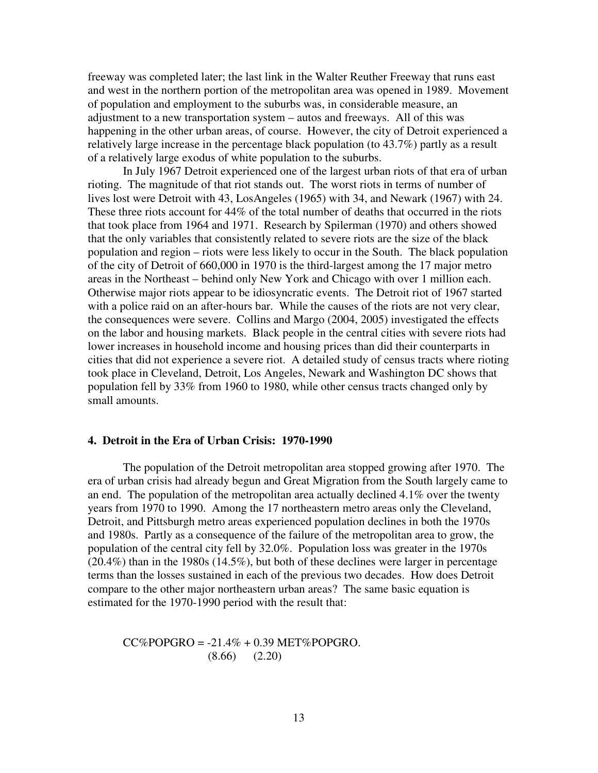freeway was completed later; the last link in the Walter Reuther Freeway that runs east and west in the northern portion of the metropolitan area was opened in 1989. Movement of population and employment to the suburbs was, in considerable measure, an adjustment to a new transportation system – autos and freeways. All of this was happening in the other urban areas, of course. However, the city of Detroit experienced a relatively large increase in the percentage black population (to 43.7%) partly as a result of a relatively large exodus of white population to the suburbs.

In July 1967 Detroit experienced one of the largest urban riots of that era of urban rioting. The magnitude of that riot stands out. The worst riots in terms of number of lives lost were Detroit with 43, LosAngeles (1965) with 34, and Newark (1967) with 24. These three riots account for 44% of the total number of deaths that occurred in the riots that took place from 1964 and 1971. Research by Spilerman (1970) and others showed that the only variables that consistently related to severe riots are the size of the black population and region – riots were less likely to occur in the South. The black population of the city of Detroit of 660,000 in 1970 is the third-largest among the 17 major metro areas in the Northeast – behind only New York and Chicago with over 1 million each. Otherwise major riots appear to be idiosyncratic events. The Detroit riot of 1967 started with a police raid on an after-hours bar. While the causes of the riots are not very clear, the consequences were severe. Collins and Margo (2004, 2005) investigated the effects on the labor and housing markets. Black people in the central cities with severe riots had lower increases in household income and housing prices than did their counterparts in cities that did not experience a severe riot. A detailed study of census tracts where rioting took place in Cleveland, Detroit, Los Angeles, Newark and Washington DC shows that population fell by 33% from 1960 to 1980, while other census tracts changed only by small amounts.

#### **4. Detroit in the Era of Urban Crisis: 1970-1990**

 The population of the Detroit metropolitan area stopped growing after 1970. The era of urban crisis had already begun and Great Migration from the South largely came to an end. The population of the metropolitan area actually declined 4.1% over the twenty years from 1970 to 1990. Among the 17 northeastern metro areas only the Cleveland, Detroit, and Pittsburgh metro areas experienced population declines in both the 1970s and 1980s. Partly as a consequence of the failure of the metropolitan area to grow, the population of the central city fell by 32.0%. Population loss was greater in the 1970s (20.4%) than in the 1980s (14.5%), but both of these declines were larger in percentage terms than the losses sustained in each of the previous two decades. How does Detroit compare to the other major northeastern urban areas? The same basic equation is estimated for the 1970-1990 period with the result that:

 $CC\%POPGRO = -21.4\% + 0.39 MET\%POPGRO.$ (8.66) (2.20)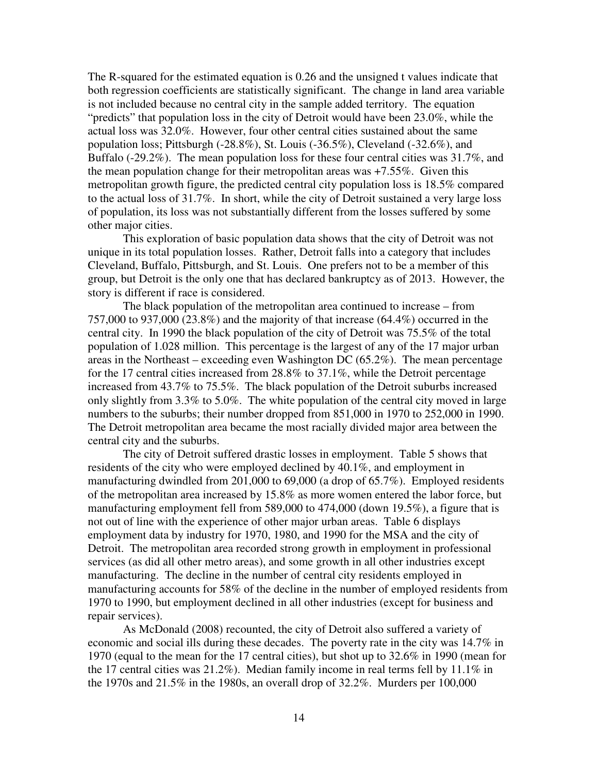The R-squared for the estimated equation is 0.26 and the unsigned t values indicate that both regression coefficients are statistically significant. The change in land area variable is not included because no central city in the sample added territory. The equation "predicts" that population loss in the city of Detroit would have been 23.0%, while the actual loss was 32.0%. However, four other central cities sustained about the same population loss; Pittsburgh (-28.8%), St. Louis (-36.5%), Cleveland (-32.6%), and Buffalo (-29.2%). The mean population loss for these four central cities was 31.7%, and the mean population change for their metropolitan areas was +7.55%. Given this metropolitan growth figure, the predicted central city population loss is 18.5% compared to the actual loss of 31.7%. In short, while the city of Detroit sustained a very large loss of population, its loss was not substantially different from the losses suffered by some other major cities.

 This exploration of basic population data shows that the city of Detroit was not unique in its total population losses. Rather, Detroit falls into a category that includes Cleveland, Buffalo, Pittsburgh, and St. Louis. One prefers not to be a member of this group, but Detroit is the only one that has declared bankruptcy as of 2013. However, the story is different if race is considered.

 The black population of the metropolitan area continued to increase – from 757,000 to 937,000 (23.8%) and the majority of that increase (64.4%) occurred in the central city. In 1990 the black population of the city of Detroit was 75.5% of the total population of 1.028 million. This percentage is the largest of any of the 17 major urban areas in the Northeast – exceeding even Washington DC  $(65.2\%)$ . The mean percentage for the 17 central cities increased from 28.8% to 37.1%, while the Detroit percentage increased from 43.7% to 75.5%. The black population of the Detroit suburbs increased only slightly from 3.3% to 5.0%. The white population of the central city moved in large numbers to the suburbs; their number dropped from 851,000 in 1970 to 252,000 in 1990. The Detroit metropolitan area became the most racially divided major area between the central city and the suburbs.

 The city of Detroit suffered drastic losses in employment. Table 5 shows that residents of the city who were employed declined by 40.1%, and employment in manufacturing dwindled from 201,000 to 69,000 (a drop of 65.7%). Employed residents of the metropolitan area increased by 15.8% as more women entered the labor force, but manufacturing employment fell from 589,000 to 474,000 (down 19.5%), a figure that is not out of line with the experience of other major urban areas. Table 6 displays employment data by industry for 1970, 1980, and 1990 for the MSA and the city of Detroit. The metropolitan area recorded strong growth in employment in professional services (as did all other metro areas), and some growth in all other industries except manufacturing. The decline in the number of central city residents employed in manufacturing accounts for 58% of the decline in the number of employed residents from 1970 to 1990, but employment declined in all other industries (except for business and repair services).

As McDonald (2008) recounted, the city of Detroit also suffered a variety of economic and social ills during these decades. The poverty rate in the city was 14.7% in 1970 (equal to the mean for the 17 central cities), but shot up to 32.6% in 1990 (mean for the 17 central cities was 21.2%). Median family income in real terms fell by 11.1% in the 1970s and  $21.5\%$  in the 1980s, an overall drop of  $32.2\%$ . Murders per 100,000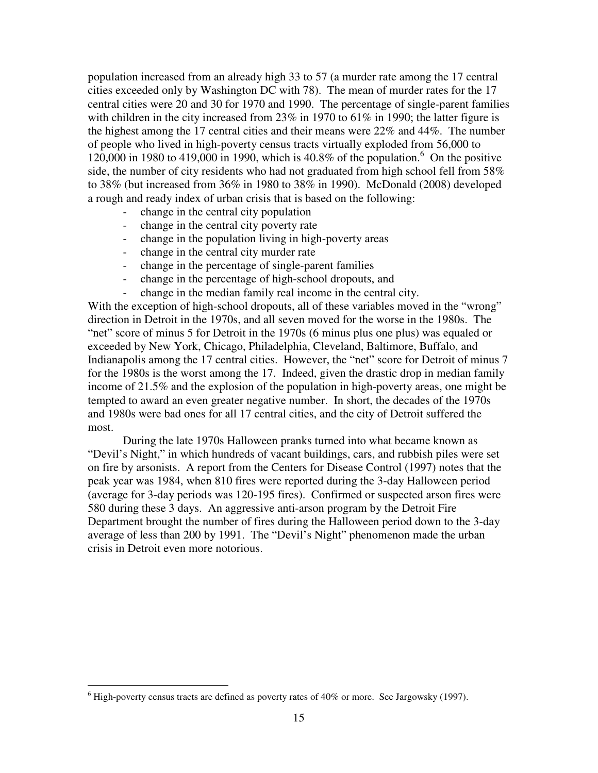population increased from an already high 33 to 57 (a murder rate among the 17 central cities exceeded only by Washington DC with 78). The mean of murder rates for the 17 central cities were 20 and 30 for 1970 and 1990. The percentage of single-parent families with children in the city increased from 23% in 1970 to 61% in 1990; the latter figure is the highest among the 17 central cities and their means were 22% and 44%. The number of people who lived in high-poverty census tracts virtually exploded from 56,000 to  $120,000$  in 1980 to 419,000 in 1990, which is 40.8% of the population.<sup>6</sup> On the positive side, the number of city residents who had not graduated from high school fell from 58% to 38% (but increased from 36% in 1980 to 38% in 1990). McDonald (2008) developed a rough and ready index of urban crisis that is based on the following:

- change in the central city population
- change in the central city poverty rate
- change in the population living in high-poverty areas
- change in the central city murder rate
- change in the percentage of single-parent families
- change in the percentage of high-school dropouts, and
- change in the median family real income in the central city.

With the exception of high-school dropouts, all of these variables moved in the "wrong" direction in Detroit in the 1970s, and all seven moved for the worse in the 1980s. The "net" score of minus 5 for Detroit in the 1970s (6 minus plus one plus) was equaled or exceeded by New York, Chicago, Philadelphia, Cleveland, Baltimore, Buffalo, and Indianapolis among the 17 central cities. However, the "net" score for Detroit of minus 7 for the 1980s is the worst among the 17. Indeed, given the drastic drop in median family income of 21.5% and the explosion of the population in high-poverty areas, one might be tempted to award an even greater negative number. In short, the decades of the 1970s and 1980s were bad ones for all 17 central cities, and the city of Detroit suffered the most.

 During the late 1970s Halloween pranks turned into what became known as "Devil's Night," in which hundreds of vacant buildings, cars, and rubbish piles were set on fire by arsonists. A report from the Centers for Disease Control (1997) notes that the peak year was 1984, when 810 fires were reported during the 3-day Halloween period (average for 3-day periods was 120-195 fires). Confirmed or suspected arson fires were 580 during these 3 days. An aggressive anti-arson program by the Detroit Fire Department brought the number of fires during the Halloween period down to the 3-day average of less than 200 by 1991. The "Devil's Night" phenomenon made the urban crisis in Detroit even more notorious.

 $\overline{a}$ 

 $<sup>6</sup>$  High-poverty census tracts are defined as poverty rates of 40% or more. See Jargowsky (1997).</sup>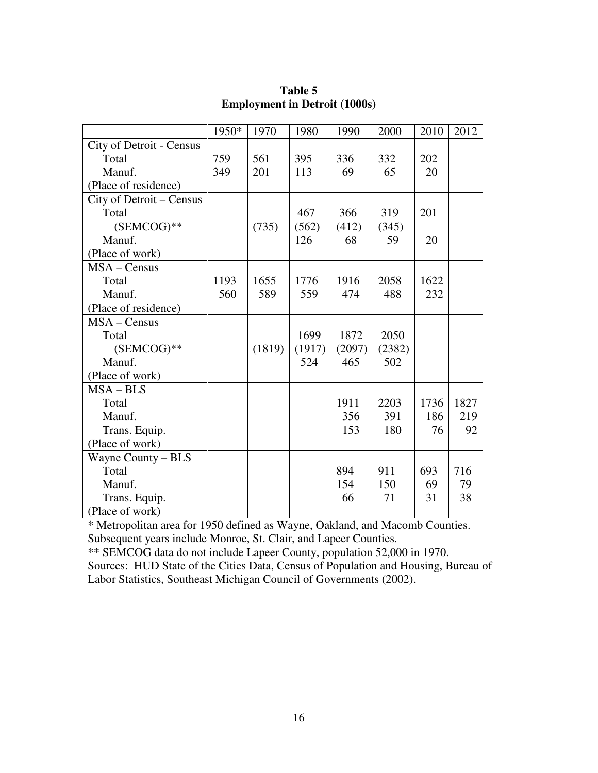|                          | 1950* | 1970   | 1980   | 1990   | 2000   | 2010 | 2012 |
|--------------------------|-------|--------|--------|--------|--------|------|------|
| City of Detroit - Census |       |        |        |        |        |      |      |
| Total                    | 759   | 561    | 395    | 336    | 332    | 202  |      |
| Manuf.                   | 349   | 201    | 113    | 69     | 65     | 20   |      |
| (Place of residence)     |       |        |        |        |        |      |      |
| City of Detroit - Census |       |        |        |        |        |      |      |
| Total                    |       |        | 467    | 366    | 319    | 201  |      |
| $(SEMCOG)$ **            |       | (735)  | (562)  | (412)  | (345)  |      |      |
| Manuf.                   |       |        | 126    | 68     | 59     | 20   |      |
| (Place of work)          |       |        |        |        |        |      |      |
| $MSA - Census$           |       |        |        |        |        |      |      |
| Total                    | 1193  | 1655   | 1776   | 1916   | 2058   | 1622 |      |
| Manuf.                   | 560   | 589    | 559    | 474    | 488    | 232  |      |
| (Place of residence)     |       |        |        |        |        |      |      |
| $MSA - Census$           |       |        |        |        |        |      |      |
| Total                    |       |        | 1699   | 1872   | 2050   |      |      |
| (SEMCOG)**               |       | (1819) | (1917) | (2097) | (2382) |      |      |
| Manuf.                   |       |        | 524    | 465    | 502    |      |      |
| (Place of work)          |       |        |        |        |        |      |      |
| $MSA-BLS$                |       |        |        |        |        |      |      |
| Total                    |       |        |        | 1911   | 2203   | 1736 | 1827 |
| Manuf.                   |       |        |        | 356    | 391    | 186  | 219  |
| Trans. Equip.            |       |        |        | 153    | 180    | 76   | 92   |
| (Place of work)          |       |        |        |        |        |      |      |
| Wayne County - BLS       |       |        |        |        |        |      |      |
| Total                    |       |        |        | 894    | 911    | 693  | 716  |
| Manuf.                   |       |        |        | 154    | 150    | 69   | 79   |
| Trans. Equip.            |       |        |        | 66     | 71     | 31   | 38   |
| (Place of work)          |       |        |        |        |        |      |      |

## **Table 5 Employment in Detroit (1000s)**

\* Metropolitan area for 1950 defined as Wayne, Oakland, and Macomb Counties. Subsequent years include Monroe, St. Clair, and Lapeer Counties.

\*\* SEMCOG data do not include Lapeer County, population 52,000 in 1970. Sources: HUD State of the Cities Data, Census of Population and Housing, Bureau of Labor Statistics, Southeast Michigan Council of Governments (2002).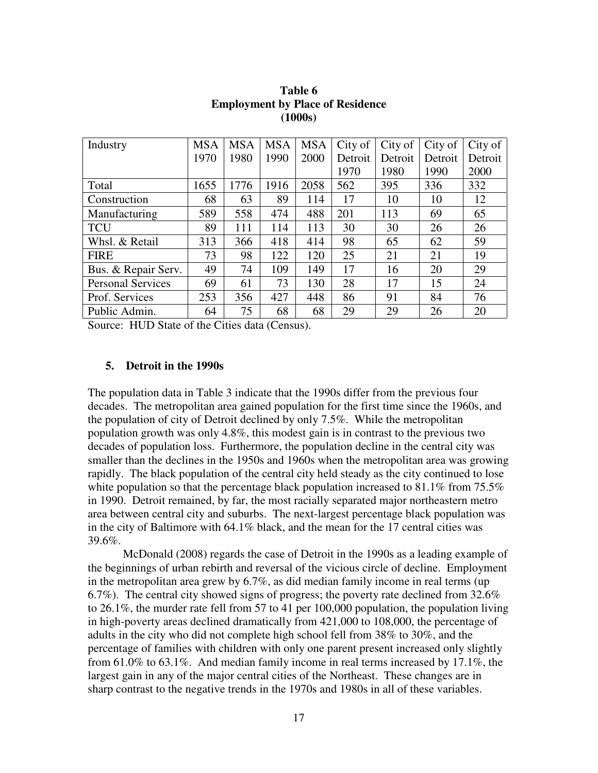| Industry                 | <b>MSA</b> | <b>MSA</b> | <b>MSA</b> | <b>MSA</b> | City of | City of | City of | City of |
|--------------------------|------------|------------|------------|------------|---------|---------|---------|---------|
|                          | 1970       | 1980       | 1990       | 2000       | Detroit | Detroit | Detroit | Detroit |
|                          |            |            |            |            | 1970    | 1980    | 1990    | 2000    |
| Total                    | 1655       | 1776       | 1916       | 2058       | 562     | 395     | 336     | 332     |
| Construction             | 68         | 63         | 89         | 114        | 17      | 10      | 10      | 12      |
| Manufacturing            | 589        | 558        | 474        | 488        | 201     | 113     | 69      | 65      |
| <b>TCU</b>               | 89         | 111        | 114        | 113        | 30      | 30      | 26      | 26      |
| Whsl. & Retail           | 313        | 366        | 418        | 414        | 98      | 65      | 62      | 59      |
| <b>FIRE</b>              | 73         | 98         | 122        | 120        | 25      | 21      | 21      | 19      |
| Bus. & Repair Serv.      | 49         | 74         | 109        | 149        | 17      | 16      | 20      | 29      |
| <b>Personal Services</b> | 69         | 61         | 73         | 130        | 28      | 17      | 15      | 24      |
| Prof. Services           | 253        | 356        | 427        | 448        | 86      | 91      | 84      | 76      |
| Public Admin.            | 64         | 75         | 68         | 68         | 29      | 29      | 26      | 20      |

**Table 6 Employment by Place of Residence (1000s)** 

Source: HUD State of the Cities data (Census).

#### **5. Detroit in the 1990s**

The population data in Table 3 indicate that the 1990s differ from the previous four decades. The metropolitan area gained population for the first time since the 1960s, and the population of city of Detroit declined by only 7.5%. While the metropolitan population growth was only 4.8%, this modest gain is in contrast to the previous two decades of population loss. Furthermore, the population decline in the central city was smaller than the declines in the 1950s and 1960s when the metropolitan area was growing rapidly. The black population of the central city held steady as the city continued to lose white population so that the percentage black population increased to 81.1% from 75.5% in 1990. Detroit remained, by far, the most racially separated major northeastern metro area between central city and suburbs. The next-largest percentage black population was in the city of Baltimore with 64.1% black, and the mean for the 17 central cities was 39.6%.

McDonald (2008) regards the case of Detroit in the 1990s as a leading example of the beginnings of urban rebirth and reversal of the vicious circle of decline. Employment in the metropolitan area grew by 6.7%, as did median family income in real terms (up 6.7%). The central city showed signs of progress; the poverty rate declined from  $32.6\%$ to 26.1%, the murder rate fell from 57 to 41 per 100,000 population, the population living in high-poverty areas declined dramatically from 421,000 to 108,000, the percentage of adults in the city who did not complete high school fell from 38% to 30%, and the percentage of families with children with only one parent present increased only slightly from 61.0% to 63.1%. And median family income in real terms increased by 17.1%, the largest gain in any of the major central cities of the Northeast. These changes are in sharp contrast to the negative trends in the 1970s and 1980s in all of these variables.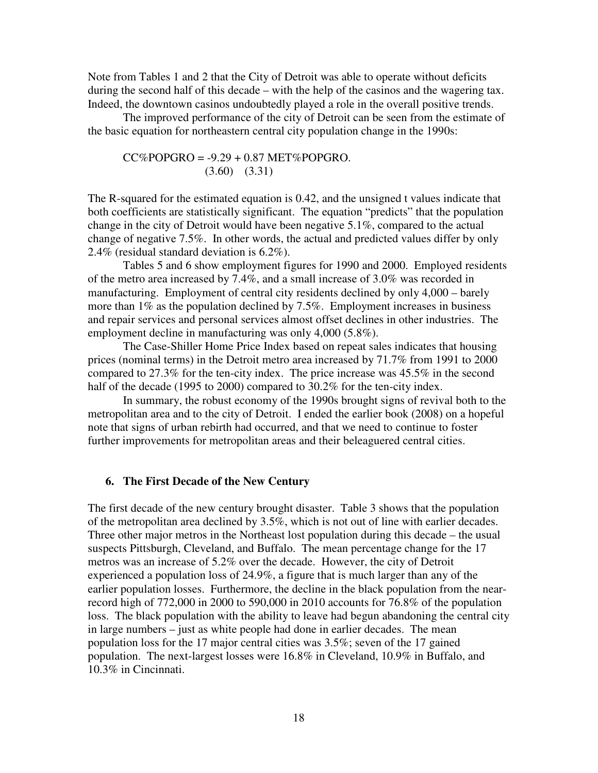Note from Tables 1 and 2 that the City of Detroit was able to operate without deficits during the second half of this decade – with the help of the casinos and the wagering tax. Indeed, the downtown casinos undoubtedly played a role in the overall positive trends.

 The improved performance of the city of Detroit can be seen from the estimate of the basic equation for northeastern central city population change in the 1990s:

$$
CC\%POPGRO = -9.29 + 0.87 MET\% POPGRO.
$$
  
(3.60) (3.31)

The R-squared for the estimated equation is 0.42, and the unsigned t values indicate that both coefficients are statistically significant. The equation "predicts" that the population change in the city of Detroit would have been negative 5.1%, compared to the actual change of negative 7.5%. In other words, the actual and predicted values differ by only 2.4% (residual standard deviation is 6.2%).

 Tables 5 and 6 show employment figures for 1990 and 2000. Employed residents of the metro area increased by 7.4%, and a small increase of 3.0% was recorded in manufacturing. Employment of central city residents declined by only 4,000 – barely more than 1% as the population declined by 7.5%. Employment increases in business and repair services and personal services almost offset declines in other industries. The employment decline in manufacturing was only 4,000 (5.8%).

 The Case-Shiller Home Price Index based on repeat sales indicates that housing prices (nominal terms) in the Detroit metro area increased by 71.7% from 1991 to 2000 compared to 27.3% for the ten-city index. The price increase was 45.5% in the second half of the decade (1995 to 2000) compared to 30.2% for the ten-city index.

 In summary, the robust economy of the 1990s brought signs of revival both to the metropolitan area and to the city of Detroit. I ended the earlier book (2008) on a hopeful note that signs of urban rebirth had occurred, and that we need to continue to foster further improvements for metropolitan areas and their beleaguered central cities.

#### **6. The First Decade of the New Century**

The first decade of the new century brought disaster. Table 3 shows that the population of the metropolitan area declined by 3.5%, which is not out of line with earlier decades. Three other major metros in the Northeast lost population during this decade – the usual suspects Pittsburgh, Cleveland, and Buffalo. The mean percentage change for the 17 metros was an increase of 5.2% over the decade. However, the city of Detroit experienced a population loss of 24.9%, a figure that is much larger than any of the earlier population losses. Furthermore, the decline in the black population from the nearrecord high of 772,000 in 2000 to 590,000 in 2010 accounts for 76.8% of the population loss. The black population with the ability to leave had begun abandoning the central city in large numbers – just as white people had done in earlier decades. The mean population loss for the 17 major central cities was 3.5%; seven of the 17 gained population. The next-largest losses were 16.8% in Cleveland, 10.9% in Buffalo, and 10.3% in Cincinnati.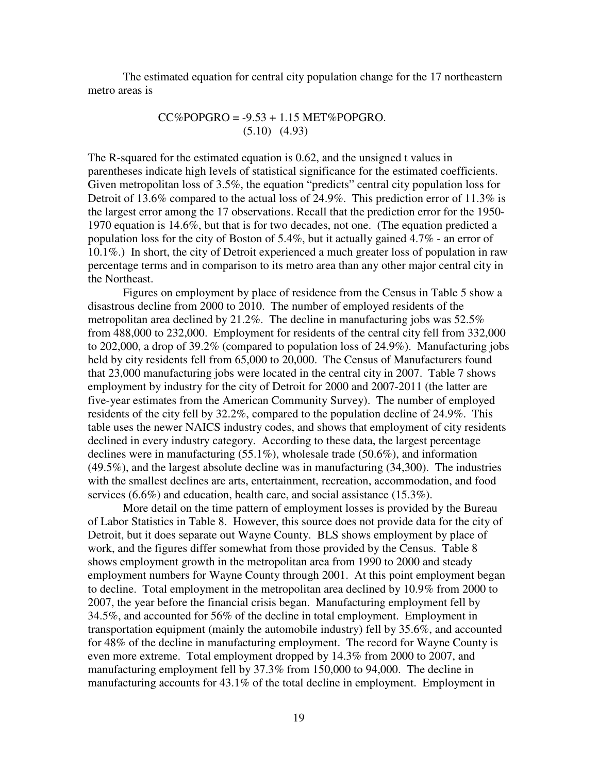The estimated equation for central city population change for the 17 northeastern metro areas is

### $CC\%POPGRO = -9.53 + 1.15 MET\%POPGRO.$ (5.10) (4.93)

The R-squared for the estimated equation is 0.62, and the unsigned t values in parentheses indicate high levels of statistical significance for the estimated coefficients. Given metropolitan loss of 3.5%, the equation "predicts" central city population loss for Detroit of 13.6% compared to the actual loss of 24.9%. This prediction error of 11.3% is the largest error among the 17 observations. Recall that the prediction error for the 1950- 1970 equation is 14.6%, but that is for two decades, not one. (The equation predicted a population loss for the city of Boston of 5.4%, but it actually gained 4.7% - an error of 10.1%.) In short, the city of Detroit experienced a much greater loss of population in raw percentage terms and in comparison to its metro area than any other major central city in the Northeast.

 Figures on employment by place of residence from the Census in Table 5 show a disastrous decline from 2000 to 2010. The number of employed residents of the metropolitan area declined by 21.2%. The decline in manufacturing jobs was 52.5% from 488,000 to 232,000. Employment for residents of the central city fell from 332,000 to 202,000, a drop of 39.2% (compared to population loss of 24.9%). Manufacturing jobs held by city residents fell from 65,000 to 20,000. The Census of Manufacturers found that 23,000 manufacturing jobs were located in the central city in 2007. Table 7 shows employment by industry for the city of Detroit for 2000 and 2007-2011 (the latter are five-year estimates from the American Community Survey). The number of employed residents of the city fell by 32.2%, compared to the population decline of 24.9%. This table uses the newer NAICS industry codes, and shows that employment of city residents declined in every industry category. According to these data, the largest percentage declines were in manufacturing (55.1%), wholesale trade (50.6%), and information (49.5%), and the largest absolute decline was in manufacturing (34,300). The industries with the smallest declines are arts, entertainment, recreation, accommodation, and food services (6.6%) and education, health care, and social assistance (15.3%).

More detail on the time pattern of employment losses is provided by the Bureau of Labor Statistics in Table 8. However, this source does not provide data for the city of Detroit, but it does separate out Wayne County. BLS shows employment by place of work, and the figures differ somewhat from those provided by the Census. Table 8 shows employment growth in the metropolitan area from 1990 to 2000 and steady employment numbers for Wayne County through 2001. At this point employment began to decline. Total employment in the metropolitan area declined by 10.9% from 2000 to 2007, the year before the financial crisis began. Manufacturing employment fell by 34.5%, and accounted for 56% of the decline in total employment. Employment in transportation equipment (mainly the automobile industry) fell by 35.6%, and accounted for 48% of the decline in manufacturing employment. The record for Wayne County is even more extreme. Total employment dropped by 14.3% from 2000 to 2007, and manufacturing employment fell by 37.3% from 150,000 to 94,000. The decline in manufacturing accounts for 43.1% of the total decline in employment. Employment in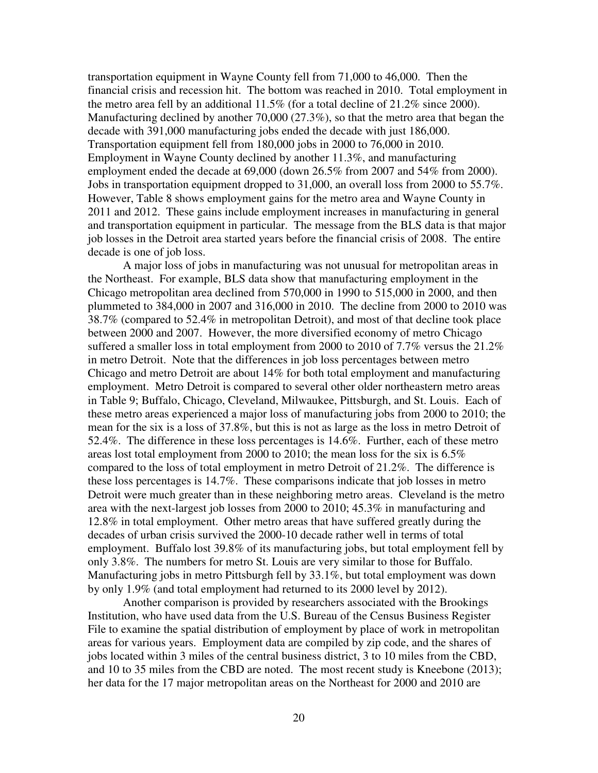transportation equipment in Wayne County fell from 71,000 to 46,000. Then the financial crisis and recession hit. The bottom was reached in 2010. Total employment in the metro area fell by an additional 11.5% (for a total decline of 21.2% since 2000). Manufacturing declined by another 70,000 (27.3%), so that the metro area that began the decade with 391,000 manufacturing jobs ended the decade with just 186,000. Transportation equipment fell from 180,000 jobs in 2000 to 76,000 in 2010. Employment in Wayne County declined by another 11.3%, and manufacturing employment ended the decade at 69,000 (down 26.5% from 2007 and 54% from 2000). Jobs in transportation equipment dropped to 31,000, an overall loss from 2000 to 55.7%. However, Table 8 shows employment gains for the metro area and Wayne County in 2011 and 2012. These gains include employment increases in manufacturing in general and transportation equipment in particular. The message from the BLS data is that major job losses in the Detroit area started years before the financial crisis of 2008. The entire decade is one of job loss.

 A major loss of jobs in manufacturing was not unusual for metropolitan areas in the Northeast. For example, BLS data show that manufacturing employment in the Chicago metropolitan area declined from 570,000 in 1990 to 515,000 in 2000, and then plummeted to 384,000 in 2007 and 316,000 in 2010. The decline from 2000 to 2010 was 38.7% (compared to 52.4% in metropolitan Detroit), and most of that decline took place between 2000 and 2007. However, the more diversified economy of metro Chicago suffered a smaller loss in total employment from 2000 to 2010 of 7.7% versus the 21.2% in metro Detroit. Note that the differences in job loss percentages between metro Chicago and metro Detroit are about 14% for both total employment and manufacturing employment. Metro Detroit is compared to several other older northeastern metro areas in Table 9; Buffalo, Chicago, Cleveland, Milwaukee, Pittsburgh, and St. Louis. Each of these metro areas experienced a major loss of manufacturing jobs from 2000 to 2010; the mean for the six is a loss of 37.8%, but this is not as large as the loss in metro Detroit of 52.4%. The difference in these loss percentages is 14.6%. Further, each of these metro areas lost total employment from 2000 to 2010; the mean loss for the six is 6.5% compared to the loss of total employment in metro Detroit of 21.2%. The difference is these loss percentages is 14.7%. These comparisons indicate that job losses in metro Detroit were much greater than in these neighboring metro areas. Cleveland is the metro area with the next-largest job losses from 2000 to 2010; 45.3% in manufacturing and 12.8% in total employment. Other metro areas that have suffered greatly during the decades of urban crisis survived the 2000-10 decade rather well in terms of total employment. Buffalo lost 39.8% of its manufacturing jobs, but total employment fell by only 3.8%. The numbers for metro St. Louis are very similar to those for Buffalo. Manufacturing jobs in metro Pittsburgh fell by 33.1%, but total employment was down by only 1.9% (and total employment had returned to its 2000 level by 2012).

Another comparison is provided by researchers associated with the Brookings Institution, who have used data from the U.S. Bureau of the Census Business Register File to examine the spatial distribution of employment by place of work in metropolitan areas for various years. Employment data are compiled by zip code, and the shares of jobs located within 3 miles of the central business district, 3 to 10 miles from the CBD, and 10 to 35 miles from the CBD are noted. The most recent study is Kneebone (2013); her data for the 17 major metropolitan areas on the Northeast for 2000 and 2010 are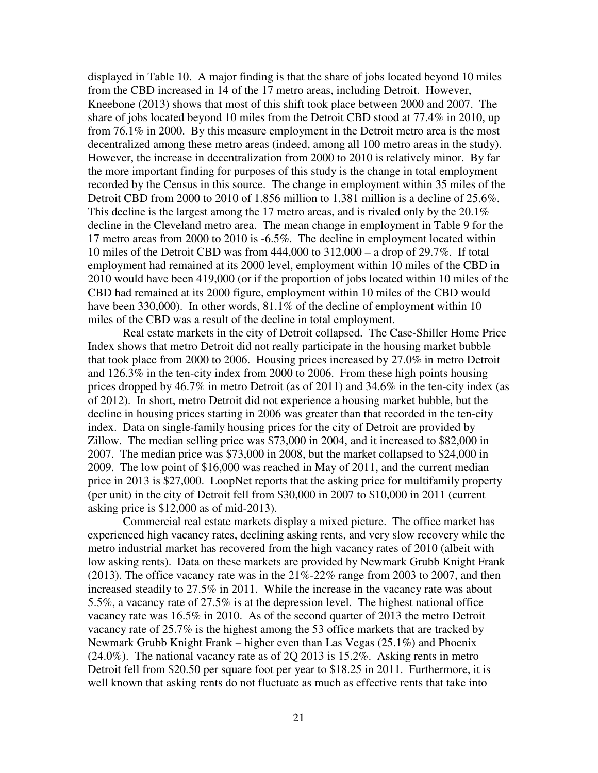displayed in Table 10. A major finding is that the share of jobs located beyond 10 miles from the CBD increased in 14 of the 17 metro areas, including Detroit. However, Kneebone (2013) shows that most of this shift took place between 2000 and 2007. The share of jobs located beyond 10 miles from the Detroit CBD stood at 77.4% in 2010, up from 76.1% in 2000. By this measure employment in the Detroit metro area is the most decentralized among these metro areas (indeed, among all 100 metro areas in the study). However, the increase in decentralization from 2000 to 2010 is relatively minor. By far the more important finding for purposes of this study is the change in total employment recorded by the Census in this source. The change in employment within 35 miles of the Detroit CBD from 2000 to 2010 of 1.856 million to 1.381 million is a decline of 25.6%. This decline is the largest among the 17 metro areas, and is rivaled only by the 20.1% decline in the Cleveland metro area. The mean change in employment in Table 9 for the 17 metro areas from 2000 to 2010 is -6.5%. The decline in employment located within 10 miles of the Detroit CBD was from 444,000 to 312,000 – a drop of 29.7%. If total employment had remained at its 2000 level, employment within 10 miles of the CBD in 2010 would have been 419,000 (or if the proportion of jobs located within 10 miles of the CBD had remained at its 2000 figure, employment within 10 miles of the CBD would have been 330,000). In other words, 81.1% of the decline of employment within 10 miles of the CBD was a result of the decline in total employment.

Real estate markets in the city of Detroit collapsed. The Case-Shiller Home Price Index shows that metro Detroit did not really participate in the housing market bubble that took place from 2000 to 2006. Housing prices increased by 27.0% in metro Detroit and 126.3% in the ten-city index from 2000 to 2006. From these high points housing prices dropped by 46.7% in metro Detroit (as of 2011) and 34.6% in the ten-city index (as of 2012). In short, metro Detroit did not experience a housing market bubble, but the decline in housing prices starting in 2006 was greater than that recorded in the ten-city index. Data on single-family housing prices for the city of Detroit are provided by Zillow. The median selling price was \$73,000 in 2004, and it increased to \$82,000 in 2007. The median price was \$73,000 in 2008, but the market collapsed to \$24,000 in 2009. The low point of \$16,000 was reached in May of 2011, and the current median price in 2013 is \$27,000. LoopNet reports that the asking price for multifamily property (per unit) in the city of Detroit fell from \$30,000 in 2007 to \$10,000 in 2011 (current asking price is \$12,000 as of mid-2013).

Commercial real estate markets display a mixed picture. The office market has experienced high vacancy rates, declining asking rents, and very slow recovery while the metro industrial market has recovered from the high vacancy rates of 2010 (albeit with low asking rents). Data on these markets are provided by Newmark Grubb Knight Frank (2013). The office vacancy rate was in the 21%-22% range from 2003 to 2007, and then increased steadily to 27.5% in 2011. While the increase in the vacancy rate was about 5.5%, a vacancy rate of 27.5% is at the depression level. The highest national office vacancy rate was 16.5% in 2010. As of the second quarter of 2013 the metro Detroit vacancy rate of 25.7% is the highest among the 53 office markets that are tracked by Newmark Grubb Knight Frank – higher even than Las Vegas (25.1%) and Phoenix (24.0%). The national vacancy rate as of 2Q 2013 is 15.2%. Asking rents in metro Detroit fell from \$20.50 per square foot per year to \$18.25 in 2011. Furthermore, it is well known that asking rents do not fluctuate as much as effective rents that take into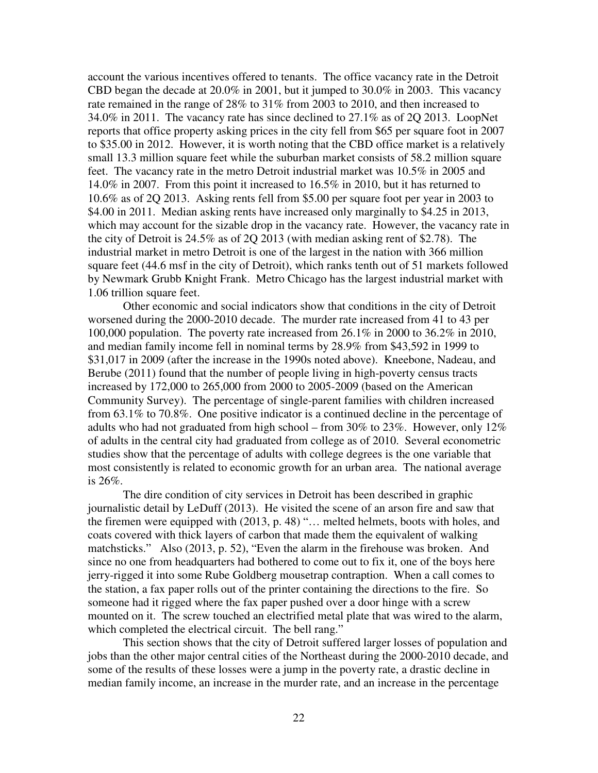account the various incentives offered to tenants. The office vacancy rate in the Detroit CBD began the decade at 20.0% in 2001, but it jumped to 30.0% in 2003. This vacancy rate remained in the range of 28% to 31% from 2003 to 2010, and then increased to 34.0% in 2011. The vacancy rate has since declined to 27.1% as of 2Q 2013. LoopNet reports that office property asking prices in the city fell from \$65 per square foot in 2007 to \$35.00 in 2012. However, it is worth noting that the CBD office market is a relatively small 13.3 million square feet while the suburban market consists of 58.2 million square feet. The vacancy rate in the metro Detroit industrial market was 10.5% in 2005 and 14.0% in 2007. From this point it increased to 16.5% in 2010, but it has returned to 10.6% as of 2Q 2013. Asking rents fell from \$5.00 per square foot per year in 2003 to \$4.00 in 2011. Median asking rents have increased only marginally to \$4.25 in 2013, which may account for the sizable drop in the vacancy rate. However, the vacancy rate in the city of Detroit is 24.5% as of 2Q 2013 (with median asking rent of \$2.78). The industrial market in metro Detroit is one of the largest in the nation with 366 million square feet (44.6 msf in the city of Detroit), which ranks tenth out of 51 markets followed by Newmark Grubb Knight Frank. Metro Chicago has the largest industrial market with 1.06 trillion square feet.

Other economic and social indicators show that conditions in the city of Detroit worsened during the 2000-2010 decade. The murder rate increased from 41 to 43 per 100,000 population. The poverty rate increased from 26.1% in 2000 to 36.2% in 2010, and median family income fell in nominal terms by 28.9% from \$43,592 in 1999 to \$31,017 in 2009 (after the increase in the 1990s noted above). Kneebone, Nadeau, and Berube (2011) found that the number of people living in high-poverty census tracts increased by 172,000 to 265,000 from 2000 to 2005-2009 (based on the American Community Survey). The percentage of single-parent families with children increased from 63.1% to 70.8%. One positive indicator is a continued decline in the percentage of adults who had not graduated from high school – from  $30\%$  to  $23\%$ . However, only  $12\%$ of adults in the central city had graduated from college as of 2010. Several econometric studies show that the percentage of adults with college degrees is the one variable that most consistently is related to economic growth for an urban area. The national average is 26%.

The dire condition of city services in Detroit has been described in graphic journalistic detail by LeDuff (2013). He visited the scene of an arson fire and saw that the firemen were equipped with (2013, p. 48) "… melted helmets, boots with holes, and coats covered with thick layers of carbon that made them the equivalent of walking matchsticks." Also (2013, p. 52), "Even the alarm in the firehouse was broken. And since no one from headquarters had bothered to come out to fix it, one of the boys here jerry-rigged it into some Rube Goldberg mousetrap contraption. When a call comes to the station, a fax paper rolls out of the printer containing the directions to the fire. So someone had it rigged where the fax paper pushed over a door hinge with a screw mounted on it. The screw touched an electrified metal plate that was wired to the alarm, which completed the electrical circuit. The bell rang."

 This section shows that the city of Detroit suffered larger losses of population and jobs than the other major central cities of the Northeast during the 2000-2010 decade, and some of the results of these losses were a jump in the poverty rate, a drastic decline in median family income, an increase in the murder rate, and an increase in the percentage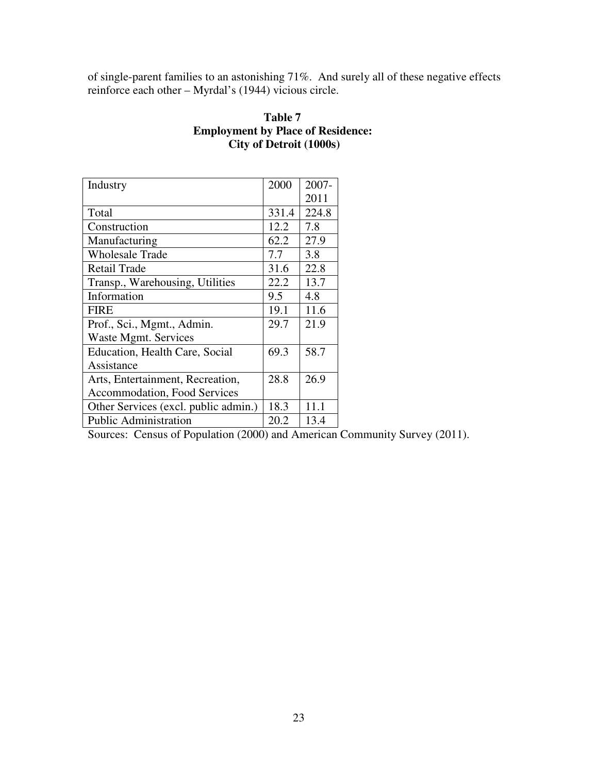of single-parent families to an astonishing 71%. And surely all of these negative effects reinforce each other – Myrdal's (1944) vicious circle.

## **Table 7 Employment by Place of Residence: City of Detroit (1000s)**

| Industry                             | 2000  | 2007- |
|--------------------------------------|-------|-------|
|                                      |       | 2011  |
| Total                                | 331.4 | 224.8 |
| Construction                         | 12.2  | 7.8   |
| Manufacturing                        | 62.2  | 27.9  |
| <b>Wholesale Trade</b>               | 7.7   | 3.8   |
| <b>Retail Trade</b>                  | 31.6  | 22.8  |
| Transp., Warehousing, Utilities      | 22.2  | 13.7  |
| Information                          | 9.5   | 4.8   |
| <b>FIRE</b>                          | 19.1  | 11.6  |
| Prof., Sci., Mgmt., Admin.           | 29.7  | 21.9  |
| Waste Mgmt. Services                 |       |       |
| Education, Health Care, Social       | 69.3  | 58.7  |
| Assistance                           |       |       |
| Arts, Entertainment, Recreation,     | 28.8  | 26.9  |
| Accommodation, Food Services         |       |       |
| Other Services (excl. public admin.) | 18.3  | 11.1  |
| <b>Public Administration</b>         | 20.2  | 13.4  |

Sources: Census of Population (2000) and American Community Survey (2011).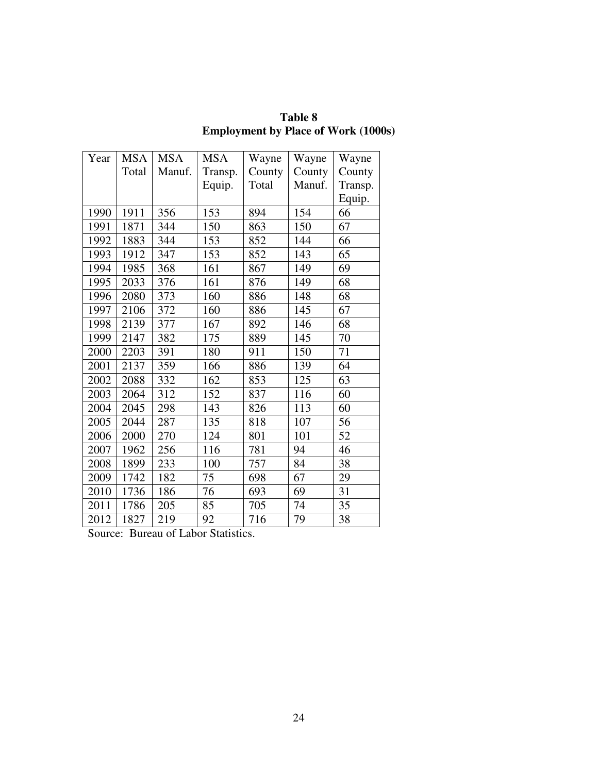| Year | <b>MSA</b> | <b>MSA</b> | <b>MSA</b> | Wayne  | Wayne  | Wayne   |
|------|------------|------------|------------|--------|--------|---------|
|      | Total      | Manuf.     | Transp.    | County | County | County  |
|      |            |            | Equip.     | Total  | Manuf. | Transp. |
|      |            |            |            |        |        | Equip.  |
| 1990 | 1911       | 356        | 153        | 894    | 154    | 66      |
| 1991 | 1871       | 344        | 150        | 863    | 150    | 67      |
| 1992 | 1883       | 344        | 153        | 852    | 144    | 66      |
| 1993 | 1912       | 347        | 153        | 852    | 143    | 65      |
| 1994 | 1985       | 368        | 161        | 867    | 149    | 69      |
| 1995 | 2033       | 376        | 161        | 876    | 149    | 68      |
| 1996 | 2080       | 373        | 160        | 886    | 148    | 68      |
| 1997 | 2106       | 372        | 160        | 886    | 145    | 67      |
| 1998 | 2139       | 377        | 167        | 892    | 146    | 68      |
| 1999 | 2147       | 382        | 175        | 889    | 145    | 70      |
| 2000 | 2203       | 391        | 180        | 911    | 150    | 71      |
| 2001 | 2137       | 359        | 166        | 886    | 139    | 64      |
| 2002 | 2088       | 332        | 162        | 853    | 125    | 63      |
| 2003 | 2064       | 312        | 152        | 837    | 116    | 60      |
| 2004 | 2045       | 298        | 143        | 826    | 113    | 60      |
| 2005 | 2044       | 287        | 135        | 818    | 107    | 56      |
| 2006 | 2000       | 270        | 124        | 801    | 101    | 52      |
| 2007 | 1962       | 256        | 116        | 781    | 94     | 46      |
| 2008 | 1899       | 233        | 100        | 757    | 84     | 38      |
| 2009 | 1742       | 182        | 75         | 698    | 67     | 29      |
| 2010 | 1736       | 186        | 76         | 693    | 69     | 31      |
| 2011 | 1786       | 205        | 85         | 705    | 74     | 35      |
| 2012 | 1827       | 219        | 92         | 716    | 79     | 38      |

**Table 8 Employment by Place of Work (1000s)** 

Source: Bureau of Labor Statistics.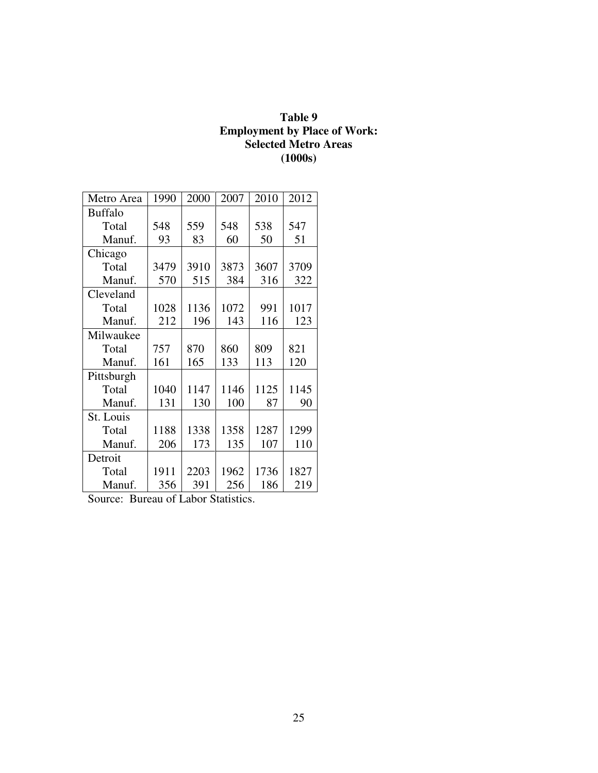### **Table 9 Employment by Place of Work: Selected Metro Areas (1000s)**

| Metro Area     | 1990 | 2000 | 2007 | 2010 | 2012 |
|----------------|------|------|------|------|------|
| <b>Buffalo</b> |      |      |      |      |      |
| Total          | 548  | 559  | 548  | 538  | 547  |
| Manuf.         | 93   | 83   | 60   | 50   | 51   |
| Chicago        |      |      |      |      |      |
| Total          | 3479 | 3910 | 3873 | 3607 | 3709 |
| Manuf.         | 570  | 515  | 384  | 316  | 322  |
| Cleveland      |      |      |      |      |      |
| Total          | 1028 | 1136 | 1072 | 991  | 1017 |
| Manuf.         | 212  | 196  | 143  | 116  | 123  |
| Milwaukee      |      |      |      |      |      |
| Total          | 757  | 870  | 860  | 809  | 821  |
| Manuf.         | 161  | 165  | 133  | 113  | 120  |
| Pittsburgh     |      |      |      |      |      |
| Total          | 1040 | 1147 | 1146 | 1125 | 1145 |
| Manuf.         | 131  | 130  | 100  | 87   | 90   |
| St. Louis      |      |      |      |      |      |
| Total          | 1188 | 1338 | 1358 | 1287 | 1299 |
| Manuf.         | 206  | 173  | 135  | 107  | 110  |
| Detroit        |      |      |      |      |      |
| Total          | 1911 | 2203 | 1962 | 1736 | 1827 |
| Manuf.         | 356  | 391  | 256  | 186  | 219  |

Source: Bureau of Labor Statistics.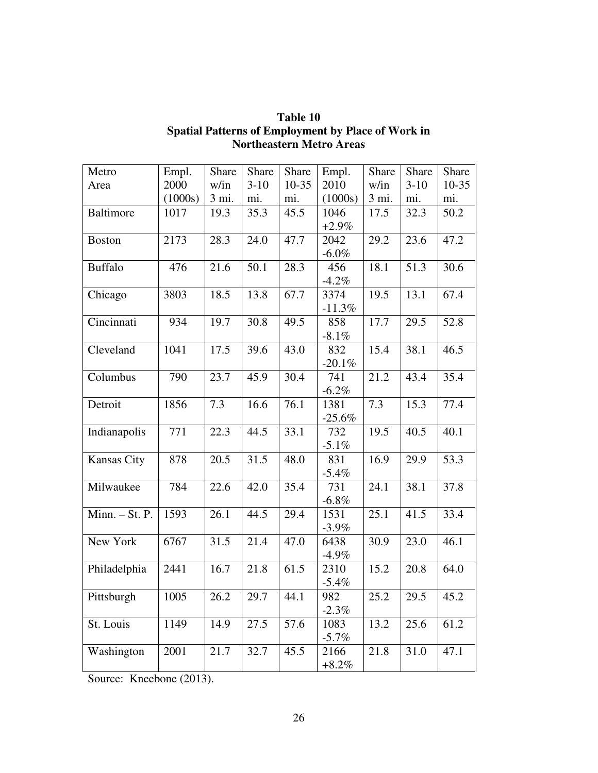| Metro            | Empl.   | Share | Share  | Share     | Empl.    | Share | Share  | Share   |
|------------------|---------|-------|--------|-----------|----------|-------|--------|---------|
| Area             | 2000    | w/in  | $3-10$ | $10 - 35$ | 2010     | w/in  | $3-10$ | $10-35$ |
|                  | (1000s) | 3 mi. | mi.    | mi.       | (1000s)  | 3 mi. | mi.    | mi.     |
| <b>Baltimore</b> | 1017    | 19.3  | 35.3   | 45.5      | 1046     | 17.5  | 32.3   | 50.2    |
|                  |         |       |        |           | $+2.9\%$ |       |        |         |
| <b>Boston</b>    | 2173    | 28.3  | 24.0   | 47.7      | 2042     | 29.2  | 23.6   | 47.2    |
|                  |         |       |        |           | $-6.0\%$ |       |        |         |
| <b>Buffalo</b>   | 476     | 21.6  | 50.1   | 28.3      | 456      | 18.1  | 51.3   | 30.6    |
|                  |         |       |        |           | $-4.2\%$ |       |        |         |
| Chicago          | 3803    | 18.5  | 13.8   | 67.7      | 3374     | 19.5  | 13.1   | 67.4    |
|                  |         |       |        |           | $-11.3%$ |       |        |         |
| Cincinnati       | 934     | 19.7  | 30.8   | 49.5      | 858      | 17.7  | 29.5   | 52.8    |
|                  |         |       |        |           | $-8.1\%$ |       |        |         |
| Cleveland        | 1041    | 17.5  | 39.6   | 43.0      | 832      | 15.4  | 38.1   | 46.5    |
|                  |         |       |        |           | $-20.1%$ |       |        |         |
| Columbus         | 790     | 23.7  | 45.9   | 30.4      | 741      | 21.2  | 43.4   | 35.4    |
|                  |         |       |        |           | $-6.2\%$ |       |        |         |
| Detroit          | 1856    | 7.3   | 16.6   | 76.1      | 1381     | 7.3   | 15.3   | 77.4    |
|                  |         |       |        |           | $-25.6%$ |       |        |         |
| Indianapolis     | 771     | 22.3  | 44.5   | 33.1      | 732      | 19.5  | 40.5   | 40.1    |
|                  |         |       |        |           | $-5.1\%$ |       |        |         |
| Kansas City      | 878     | 20.5  | 31.5   | 48.0      | 831      | 16.9  | 29.9   | 53.3    |
|                  |         |       |        |           | $-5.4\%$ |       |        |         |
| Milwaukee        | 784     | 22.6  | 42.0   | 35.4      | 731      | 24.1  | 38.1   | 37.8    |
|                  |         |       |        |           | $-6.8\%$ |       |        |         |
| Minn. - St. P.   | 1593    | 26.1  | 44.5   | 29.4      | 1531     | 25.1  | 41.5   | 33.4    |
|                  |         |       |        |           | $-3.9\%$ |       |        |         |
| New York         | 6767    | 31.5  | 21.4   | 47.0      | 6438     | 30.9  | 23.0   | 46.1    |
|                  |         |       |        |           | $-4.9\%$ |       |        |         |
| Philadelphia     | 2441    | 16.7  | 21.8   | 61.5      | 2310     | 15.2  | 20.8   | 64.0    |
|                  |         |       |        |           | $-5.4\%$ |       |        |         |
| Pittsburgh       | 1005    | 26.2  | 29.7   | 44.1      | 982      | 25.2  | 29.5   | 45.2    |
|                  |         |       |        |           | $-2.3\%$ |       |        |         |
| St. Louis        | 1149    | 14.9  | 27.5   | 57.6      | 1083     | 13.2  | 25.6   | 61.2    |
|                  |         |       |        |           | $-5.7\%$ |       |        |         |
| Washington       | 2001    | 21.7  | 32.7   | 45.5      | 2166     | 21.8  | 31.0   | 47.1    |
|                  |         |       |        |           | $+8.2\%$ |       |        |         |

## **Table 10 Spatial Patterns of Employment by Place of Work in Northeastern Metro Areas**

Source: Kneebone (2013).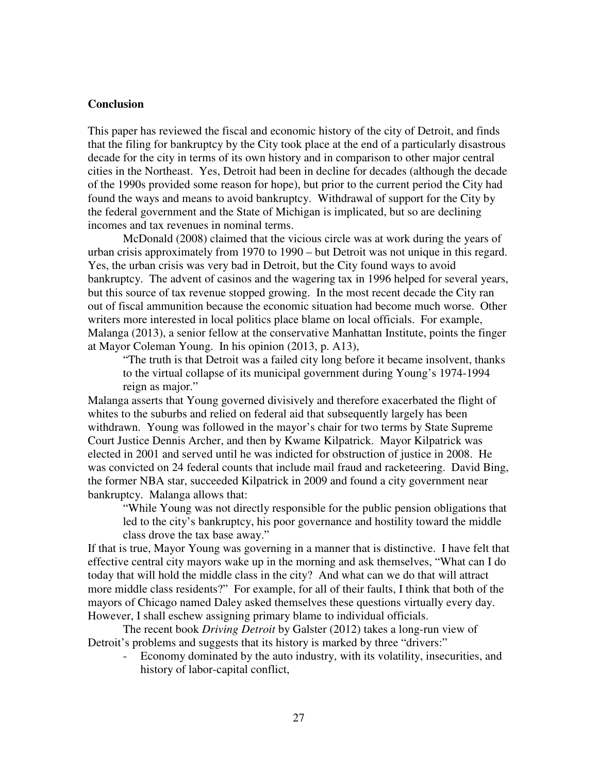### **Conclusion**

This paper has reviewed the fiscal and economic history of the city of Detroit, and finds that the filing for bankruptcy by the City took place at the end of a particularly disastrous decade for the city in terms of its own history and in comparison to other major central cities in the Northeast. Yes, Detroit had been in decline for decades (although the decade of the 1990s provided some reason for hope), but prior to the current period the City had found the ways and means to avoid bankruptcy. Withdrawal of support for the City by the federal government and the State of Michigan is implicated, but so are declining incomes and tax revenues in nominal terms.

 McDonald (2008) claimed that the vicious circle was at work during the years of urban crisis approximately from 1970 to 1990 – but Detroit was not unique in this regard. Yes, the urban crisis was very bad in Detroit, but the City found ways to avoid bankruptcy. The advent of casinos and the wagering tax in 1996 helped for several years, but this source of tax revenue stopped growing. In the most recent decade the City ran out of fiscal ammunition because the economic situation had become much worse. Other writers more interested in local politics place blame on local officials. For example, Malanga (2013), a senior fellow at the conservative Manhattan Institute, points the finger at Mayor Coleman Young. In his opinion (2013, p. A13),

"The truth is that Detroit was a failed city long before it became insolvent, thanks to the virtual collapse of its municipal government during Young's 1974-1994 reign as major."

Malanga asserts that Young governed divisively and therefore exacerbated the flight of whites to the suburbs and relied on federal aid that subsequently largely has been withdrawn. Young was followed in the mayor's chair for two terms by State Supreme Court Justice Dennis Archer, and then by Kwame Kilpatrick. Mayor Kilpatrick was elected in 2001 and served until he was indicted for obstruction of justice in 2008. He was convicted on 24 federal counts that include mail fraud and racketeering. David Bing, the former NBA star, succeeded Kilpatrick in 2009 and found a city government near bankruptcy. Malanga allows that:

"While Young was not directly responsible for the public pension obligations that led to the city's bankruptcy, his poor governance and hostility toward the middle class drove the tax base away."

If that is true, Mayor Young was governing in a manner that is distinctive. I have felt that effective central city mayors wake up in the morning and ask themselves, "What can I do today that will hold the middle class in the city? And what can we do that will attract more middle class residents?" For example, for all of their faults, I think that both of the mayors of Chicago named Daley asked themselves these questions virtually every day. However, I shall eschew assigning primary blame to individual officials.

 The recent book *Driving Detroit* by Galster (2012) takes a long-run view of Detroit's problems and suggests that its history is marked by three "drivers:"

- Economy dominated by the auto industry, with its volatility, insecurities, and history of labor-capital conflict,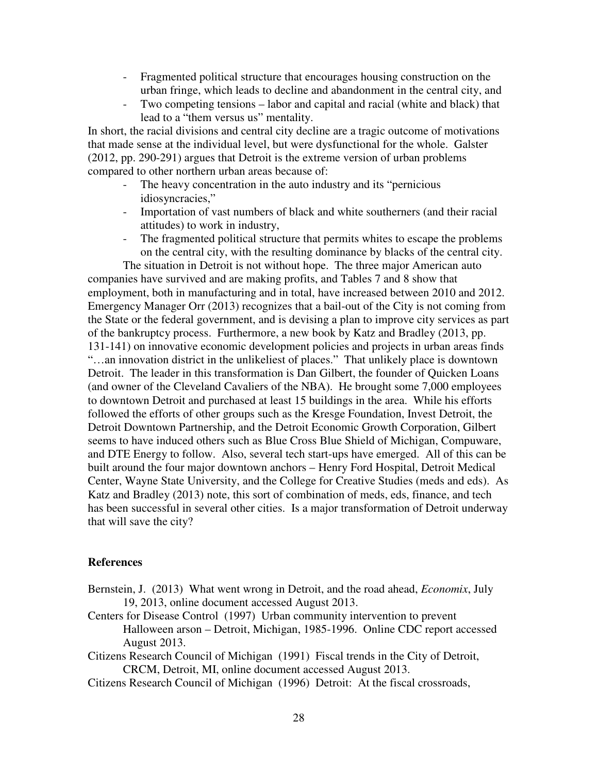- Fragmented political structure that encourages housing construction on the urban fringe, which leads to decline and abandonment in the central city, and
- Two competing tensions labor and capital and racial (white and black) that lead to a "them versus us" mentality.

In short, the racial divisions and central city decline are a tragic outcome of motivations that made sense at the individual level, but were dysfunctional for the whole. Galster (2012, pp. 290-291) argues that Detroit is the extreme version of urban problems compared to other northern urban areas because of:

- The heavy concentration in the auto industry and its "pernicious" idiosyncracies,"
- Importation of vast numbers of black and white southerners (and their racial attitudes) to work in industry,
- The fragmented political structure that permits whites to escape the problems on the central city, with the resulting dominance by blacks of the central city. The situation in Detroit is not without hope. The three major American auto

companies have survived and are making profits, and Tables 7 and 8 show that employment, both in manufacturing and in total, have increased between 2010 and 2012. Emergency Manager Orr (2013) recognizes that a bail-out of the City is not coming from the State or the federal government, and is devising a plan to improve city services as part of the bankruptcy process. Furthermore, a new book by Katz and Bradley (2013, pp. 131-141) on innovative economic development policies and projects in urban areas finds "…an innovation district in the unlikeliest of places." That unlikely place is downtown Detroit. The leader in this transformation is Dan Gilbert, the founder of Quicken Loans (and owner of the Cleveland Cavaliers of the NBA). He brought some 7,000 employees to downtown Detroit and purchased at least 15 buildings in the area. While his efforts followed the efforts of other groups such as the Kresge Foundation, Invest Detroit, the Detroit Downtown Partnership, and the Detroit Economic Growth Corporation, Gilbert seems to have induced others such as Blue Cross Blue Shield of Michigan, Compuware, and DTE Energy to follow. Also, several tech start-ups have emerged. All of this can be built around the four major downtown anchors – Henry Ford Hospital, Detroit Medical Center, Wayne State University, and the College for Creative Studies (meds and eds). As Katz and Bradley (2013) note, this sort of combination of meds, eds, finance, and tech has been successful in several other cities. Is a major transformation of Detroit underway that will save the city?

#### **References**

- Bernstein, J. (2013) What went wrong in Detroit, and the road ahead, *Economix*, July 19, 2013, online document accessed August 2013.
- Centers for Disease Control (1997) Urban community intervention to prevent Halloween arson – Detroit, Michigan, 1985-1996. Online CDC report accessed August 2013.
- Citizens Research Council of Michigan (1991) Fiscal trends in the City of Detroit, CRCM, Detroit, MI, online document accessed August 2013.

Citizens Research Council of Michigan (1996) Detroit: At the fiscal crossroads,